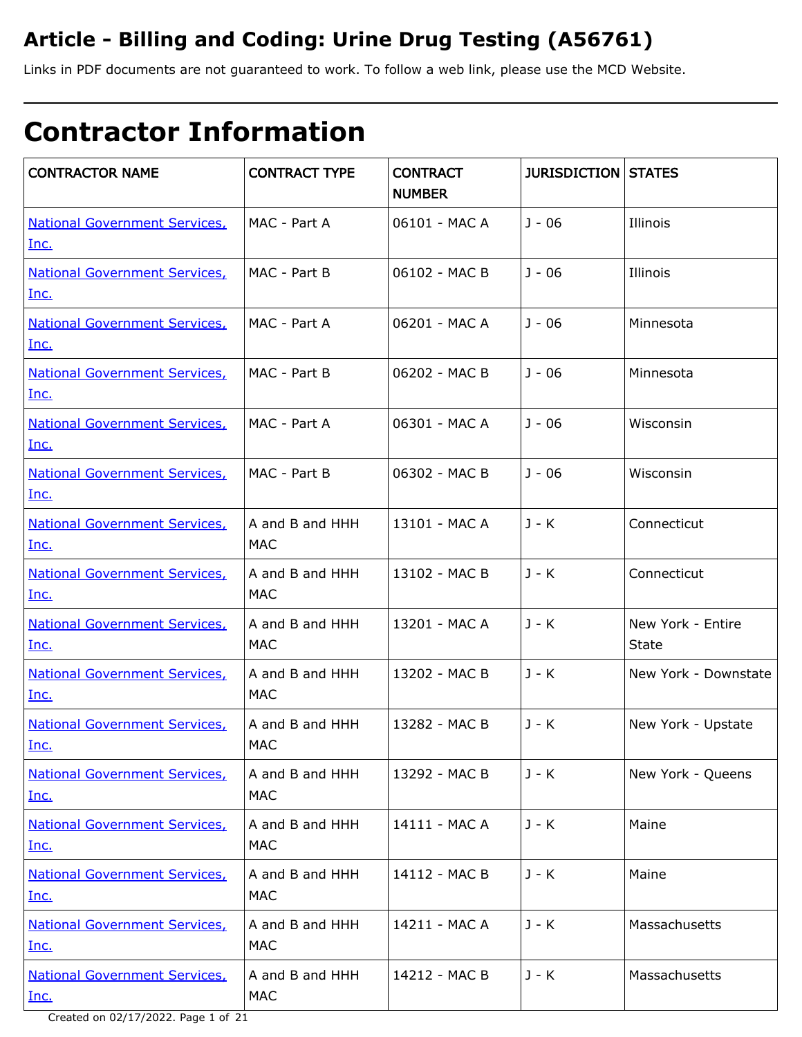# **Article - Billing and Coding: Urine Drug Testing (A56761)**

Links in PDF documents are not guaranteed to work. To follow a web link, please use the MCD Website.

# **Contractor Information**

| <b>CONTRACTOR NAME</b>                       | <b>CONTRACT TYPE</b>          | <b>CONTRACT</b><br><b>NUMBER</b> | <b>JURISDICTION STATES</b> |                                   |
|----------------------------------------------|-------------------------------|----------------------------------|----------------------------|-----------------------------------|
| <b>National Government Services,</b><br>Inc. | MAC - Part A                  | 06101 - MAC A                    | $J - 06$                   | Illinois                          |
| <b>National Government Services,</b><br>Inc. | MAC - Part B                  | 06102 - MAC B                    | $J - 06$                   | Illinois                          |
| <b>National Government Services,</b><br>Inc. | MAC - Part A                  | 06201 - MAC A                    | $J - 06$                   | Minnesota                         |
| <b>National Government Services,</b><br>Inc. | MAC - Part B                  | 06202 - MAC B                    | $J - 06$                   | Minnesota                         |
| <b>National Government Services,</b><br>Inc. | MAC - Part A                  | 06301 - MAC A                    | $J - 06$                   | Wisconsin                         |
| <b>National Government Services,</b><br>Inc. | MAC - Part B                  | 06302 - MAC B                    | $J - 06$                   | Wisconsin                         |
| <b>National Government Services,</b><br>Inc. | A and B and HHH<br><b>MAC</b> | 13101 - MAC A                    | J - K                      | Connecticut                       |
| <b>National Government Services,</b><br>Inc. | A and B and HHH<br><b>MAC</b> | 13102 - MAC B                    | J - K                      | Connecticut                       |
| <b>National Government Services,</b><br>Inc. | A and B and HHH<br>MAC        | 13201 - MAC A                    | $J - K$                    | New York - Entire<br><b>State</b> |
| <b>National Government Services,</b><br>Inc. | A and B and HHH<br><b>MAC</b> | 13202 - MAC B                    | $J - K$                    | New York - Downstate              |
| <b>National Government Services,</b><br>Inc. | A and B and HHH<br><b>MAC</b> | 13282 - MAC B                    | J - K                      | New York - Upstate                |
| <b>National Government Services,</b><br>Inc. | A and B and HHH<br><b>MAC</b> | 13292 - MAC B                    | J - K                      | New York - Queens                 |
| <b>National Government Services,</b><br>Inc. | A and B and HHH<br><b>MAC</b> | 14111 - MAC A                    | $J - K$                    | Maine                             |
| <b>National Government Services,</b><br>Inc. | A and B and HHH<br><b>MAC</b> | 14112 - MAC B                    | J - K                      | Maine                             |
| <b>National Government Services,</b><br>Inc. | A and B and HHH<br><b>MAC</b> | 14211 - MAC A                    | J - K                      | Massachusetts                     |
| <b>National Government Services,</b><br>Inc. | A and B and HHH<br><b>MAC</b> | 14212 - MAC B                    | $J - K$                    | Massachusetts                     |

Created on 02/17/2022. Page 1 of 21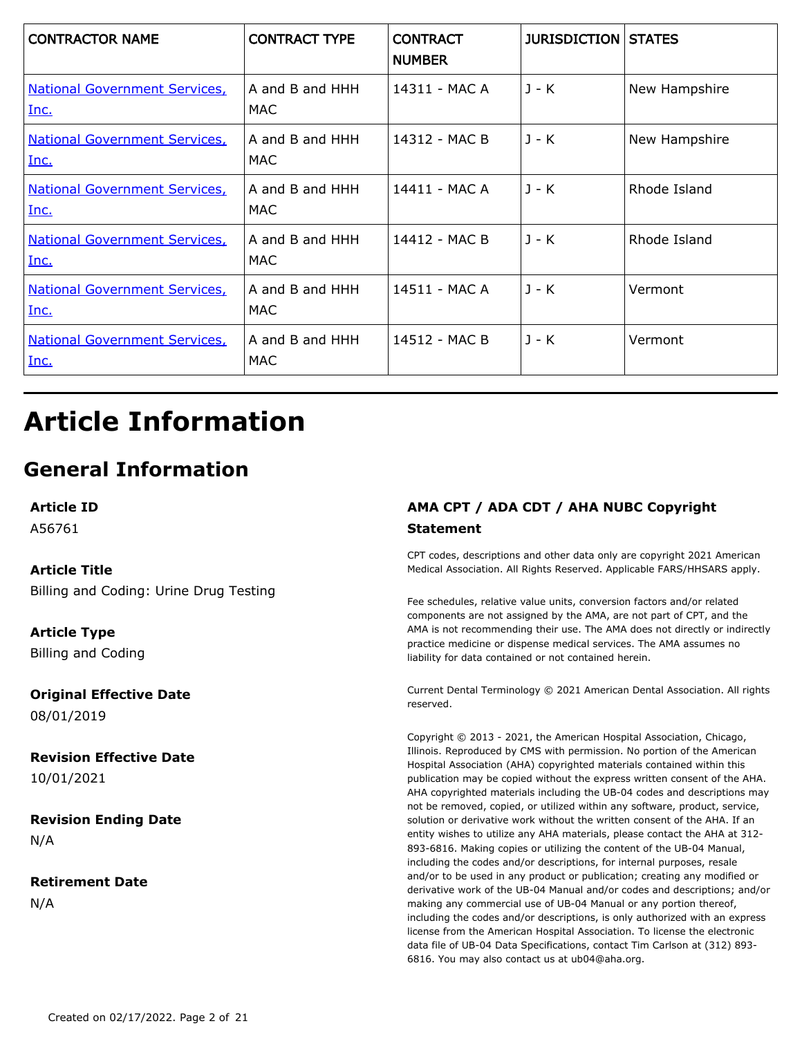| <b>CONTRACTOR NAME</b>                       | <b>CONTRACT TYPE</b>    | <b>CONTRACT</b><br><b>NUMBER</b> | <b>JURISDICTION STATES</b> |               |
|----------------------------------------------|-------------------------|----------------------------------|----------------------------|---------------|
| <b>National Government Services,</b><br>Inc. | A and B and HHH<br>MAC. | 14311 - MAC A                    | $J - K$                    | New Hampshire |
| <b>National Government Services</b><br>Inc.  | A and B and HHH<br>MAC  | 14312 - MAC B                    | $J - K$                    | New Hampshire |
| <b>National Government Services,</b><br>Inc. | A and B and HHH<br>MAC  | 14411 - MAC A                    | $J - K$                    | Rhode Island  |
| <b>National Government Services,</b><br>Inc. | A and B and HHH<br>MAC  | 14412 - MAC B                    | $J - K$                    | Rhode Island  |
| <b>National Government Services,</b><br>Inc. | A and B and HHH<br>MAC  | 14511 - MAC A                    | $J - K$                    | Vermont       |
| <b>National Government Services,</b><br>Inc. | A and B and HHH<br>MAC  | 14512 - MAC B                    | $J - K$                    | Vermont       |

# **Article Information**

# **General Information**

**Article ID**

A56761

### **Article Title**

Billing and Coding: Urine Drug Testing

**Article Type** Billing and Coding

**Original Effective Date** 08/01/2019

**Revision Effective Date** 10/01/2021

**Revision Ending Date** N/A

**Retirement Date** N/A

### **AMA CPT / ADA CDT / AHA NUBC Copyright Statement**

CPT codes, descriptions and other data only are copyright 2021 American Medical Association. All Rights Reserved. Applicable FARS/HHSARS apply.

Fee schedules, relative value units, conversion factors and/or related components are not assigned by the AMA, are not part of CPT, and the AMA is not recommending their use. The AMA does not directly or indirectly practice medicine or dispense medical services. The AMA assumes no liability for data contained or not contained herein.

Current Dental Terminology © 2021 American Dental Association. All rights reserved.

Copyright © 2013 - 2021, the American Hospital Association, Chicago, Illinois. Reproduced by CMS with permission. No portion of the American Hospital Association (AHA) copyrighted materials contained within this publication may be copied without the express written consent of the AHA. AHA copyrighted materials including the UB-04 codes and descriptions may not be removed, copied, or utilized within any software, product, service, solution or derivative work without the written consent of the AHA. If an entity wishes to utilize any AHA materials, please contact the AHA at 312- 893-6816. Making copies or utilizing the content of the UB-04 Manual, including the codes and/or descriptions, for internal purposes, resale and/or to be used in any product or publication; creating any modified or derivative work of the UB-04 Manual and/or codes and descriptions; and/or making any commercial use of UB-04 Manual or any portion thereof, including the codes and/or descriptions, is only authorized with an express license from the American Hospital Association. To license the electronic data file of UB-04 Data Specifications, contact Tim Carlson at (312) 893- 6816. You may also contact us at ub04@aha.org.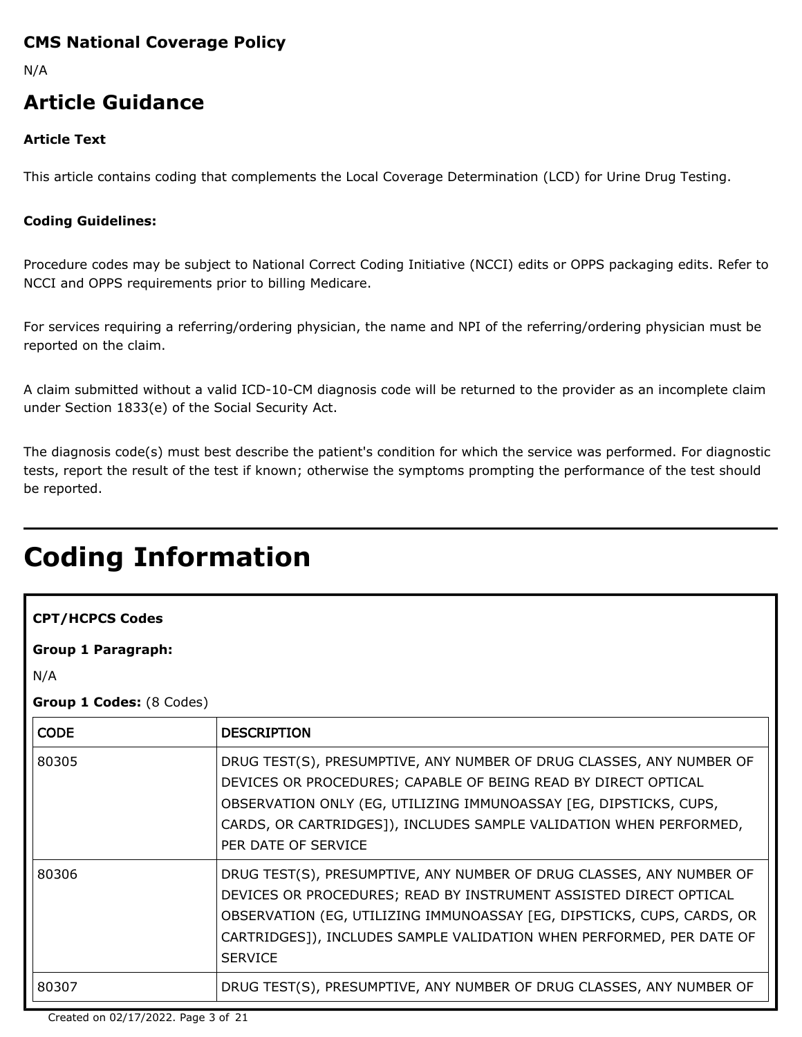## **CMS National Coverage Policy**

N/A

# **Article Guidance**

### **Article Text**

This article contains coding that complements the Local Coverage Determination (LCD) for Urine Drug Testing.

#### **Coding Guidelines:**

Procedure codes may be subject to National Correct Coding Initiative (NCCI) edits or OPPS packaging edits. Refer to NCCI and OPPS requirements prior to billing Medicare.

For services requiring a referring/ordering physician, the name and NPI of the referring/ordering physician must be reported on the claim.

A claim submitted without a valid ICD-10-CM diagnosis code will be returned to the provider as an incomplete claim under Section 1833(e) of the Social Security Act.

The diagnosis code(s) must best describe the patient's condition for which the service was performed. For diagnostic tests, report the result of the test if known; otherwise the symptoms prompting the performance of the test should be reported.

# **Coding Information**

### **CPT/HCPCS Codes**

**Group 1 Paragraph:**

N/A

**Group 1 Codes:** (8 Codes)

| <b>CODE</b> | <b>DESCRIPTION</b>                                                                                                                                                                                                                                                                                            |
|-------------|---------------------------------------------------------------------------------------------------------------------------------------------------------------------------------------------------------------------------------------------------------------------------------------------------------------|
| 80305       | DRUG TEST(S), PRESUMPTIVE, ANY NUMBER OF DRUG CLASSES, ANY NUMBER OF<br>DEVICES OR PROCEDURES; CAPABLE OF BEING READ BY DIRECT OPTICAL<br>OBSERVATION ONLY (EG, UTILIZING IMMUNOASSAY [EG, DIPSTICKS, CUPS,<br>CARDS, OR CARTRIDGES]), INCLUDES SAMPLE VALIDATION WHEN PERFORMED,<br>PER DATE OF SERVICE      |
| 80306       | DRUG TEST(S), PRESUMPTIVE, ANY NUMBER OF DRUG CLASSES, ANY NUMBER OF<br>DEVICES OR PROCEDURES; READ BY INSTRUMENT ASSISTED DIRECT OPTICAL<br>OBSERVATION (EG, UTILIZING IMMUNOASSAY [EG, DIPSTICKS, CUPS, CARDS, OR<br>CARTRIDGES]), INCLUDES SAMPLE VALIDATION WHEN PERFORMED, PER DATE OF<br><b>SERVICE</b> |
| 80307       | DRUG TEST(S), PRESUMPTIVE, ANY NUMBER OF DRUG CLASSES, ANY NUMBER OF                                                                                                                                                                                                                                          |

Created on 02/17/2022. Page 3 of 21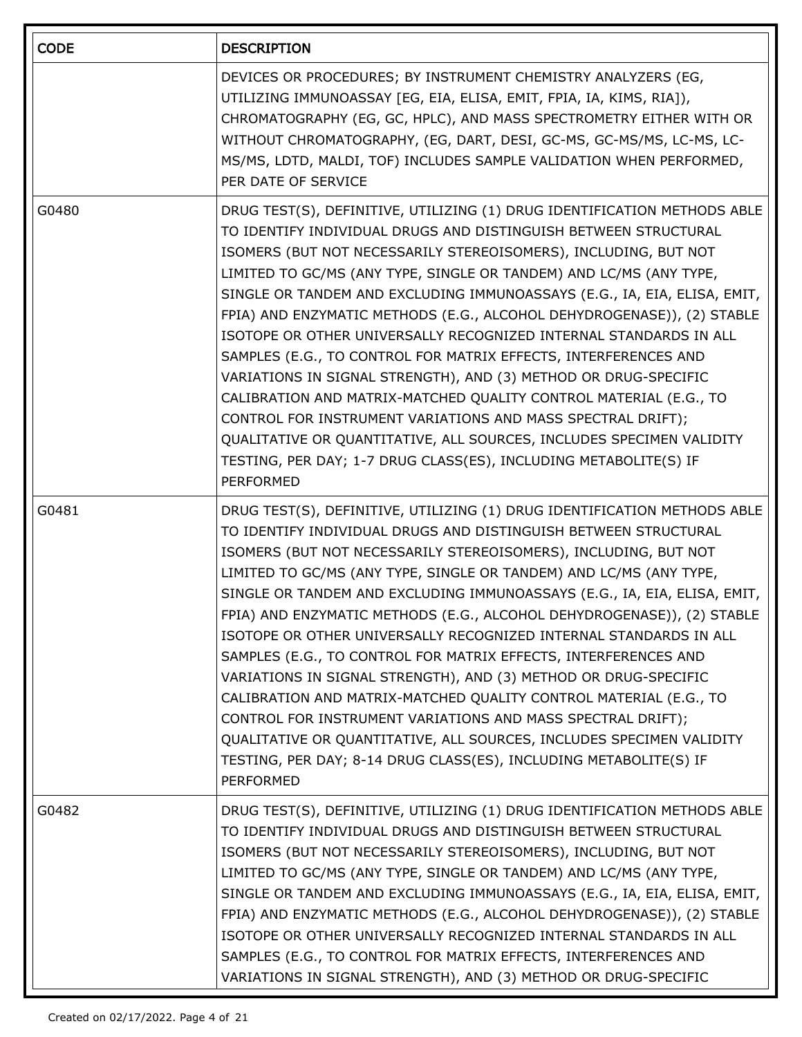| <b>CODE</b> | <b>DESCRIPTION</b>                                                                                                                                                                                                                                                                                                                                                                                                                                                                                                                                                                                                                                                                                                                                                                                                                                                                                                                                        |
|-------------|-----------------------------------------------------------------------------------------------------------------------------------------------------------------------------------------------------------------------------------------------------------------------------------------------------------------------------------------------------------------------------------------------------------------------------------------------------------------------------------------------------------------------------------------------------------------------------------------------------------------------------------------------------------------------------------------------------------------------------------------------------------------------------------------------------------------------------------------------------------------------------------------------------------------------------------------------------------|
|             | DEVICES OR PROCEDURES; BY INSTRUMENT CHEMISTRY ANALYZERS (EG,<br>UTILIZING IMMUNOASSAY [EG, EIA, ELISA, EMIT, FPIA, IA, KIMS, RIA]),<br>CHROMATOGRAPHY (EG, GC, HPLC), AND MASS SPECTROMETRY EITHER WITH OR<br>WITHOUT CHROMATOGRAPHY, (EG, DART, DESI, GC-MS, GC-MS/MS, LC-MS, LC-<br>MS/MS, LDTD, MALDI, TOF) INCLUDES SAMPLE VALIDATION WHEN PERFORMED,<br>PER DATE OF SERVICE                                                                                                                                                                                                                                                                                                                                                                                                                                                                                                                                                                         |
| G0480       | DRUG TEST(S), DEFINITIVE, UTILIZING (1) DRUG IDENTIFICATION METHODS ABLE<br>TO IDENTIFY INDIVIDUAL DRUGS AND DISTINGUISH BETWEEN STRUCTURAL<br>ISOMERS (BUT NOT NECESSARILY STEREOISOMERS), INCLUDING, BUT NOT<br>LIMITED TO GC/MS (ANY TYPE, SINGLE OR TANDEM) AND LC/MS (ANY TYPE,<br>SINGLE OR TANDEM AND EXCLUDING IMMUNOASSAYS (E.G., IA, EIA, ELISA, EMIT,<br>FPIA) AND ENZYMATIC METHODS (E.G., ALCOHOL DEHYDROGENASE)), (2) STABLE<br>ISOTOPE OR OTHER UNIVERSALLY RECOGNIZED INTERNAL STANDARDS IN ALL<br>SAMPLES (E.G., TO CONTROL FOR MATRIX EFFECTS, INTERFERENCES AND<br>VARIATIONS IN SIGNAL STRENGTH), AND (3) METHOD OR DRUG-SPECIFIC<br>CALIBRATION AND MATRIX-MATCHED QUALITY CONTROL MATERIAL (E.G., TO<br>CONTROL FOR INSTRUMENT VARIATIONS AND MASS SPECTRAL DRIFT);<br>QUALITATIVE OR QUANTITATIVE, ALL SOURCES, INCLUDES SPECIMEN VALIDITY<br>TESTING, PER DAY; 1-7 DRUG CLASS(ES), INCLUDING METABOLITE(S) IF<br><b>PERFORMED</b> |
| G0481       | DRUG TEST(S), DEFINITIVE, UTILIZING (1) DRUG IDENTIFICATION METHODS ABLE<br>TO IDENTIFY INDIVIDUAL DRUGS AND DISTINGUISH BETWEEN STRUCTURAL<br>ISOMERS (BUT NOT NECESSARILY STEREOISOMERS), INCLUDING, BUT NOT<br>LIMITED TO GC/MS (ANY TYPE, SINGLE OR TANDEM) AND LC/MS (ANY TYPE,<br>SINGLE OR TANDEM AND EXCLUDING IMMUNOASSAYS (E.G., IA, EIA, ELISA, EMIT,<br>FPIA) AND ENZYMATIC METHODS (E.G., ALCOHOL DEHYDROGENASE)), (2) STABLE<br>ISOTOPE OR OTHER UNIVERSALLY RECOGNIZED INTERNAL STANDARDS IN ALL<br>SAMPLES (E.G., TO CONTROL FOR MATRIX EFFECTS, INTERFERENCES AND<br>VARIATIONS IN SIGNAL STRENGTH), AND (3) METHOD OR DRUG-SPECIFIC<br>CALIBRATION AND MATRIX-MATCHED QUALITY CONTROL MATERIAL (E.G., TO<br>CONTROL FOR INSTRUMENT VARIATIONS AND MASS SPECTRAL DRIFT);<br>QUALITATIVE OR QUANTITATIVE, ALL SOURCES, INCLUDES SPECIMEN VALIDITY<br>TESTING, PER DAY; 8-14 DRUG CLASS(ES), INCLUDING METABOLITE(S) IF<br>PERFORMED       |
| G0482       | DRUG TEST(S), DEFINITIVE, UTILIZING (1) DRUG IDENTIFICATION METHODS ABLE<br>TO IDENTIFY INDIVIDUAL DRUGS AND DISTINGUISH BETWEEN STRUCTURAL<br>ISOMERS (BUT NOT NECESSARILY STEREOISOMERS), INCLUDING, BUT NOT<br>LIMITED TO GC/MS (ANY TYPE, SINGLE OR TANDEM) AND LC/MS (ANY TYPE,<br>SINGLE OR TANDEM AND EXCLUDING IMMUNOASSAYS (E.G., IA, EIA, ELISA, EMIT,<br>FPIA) AND ENZYMATIC METHODS (E.G., ALCOHOL DEHYDROGENASE)), (2) STABLE<br>ISOTOPE OR OTHER UNIVERSALLY RECOGNIZED INTERNAL STANDARDS IN ALL<br>SAMPLES (E.G., TO CONTROL FOR MATRIX EFFECTS, INTERFERENCES AND<br>VARIATIONS IN SIGNAL STRENGTH), AND (3) METHOD OR DRUG-SPECIFIC                                                                                                                                                                                                                                                                                                     |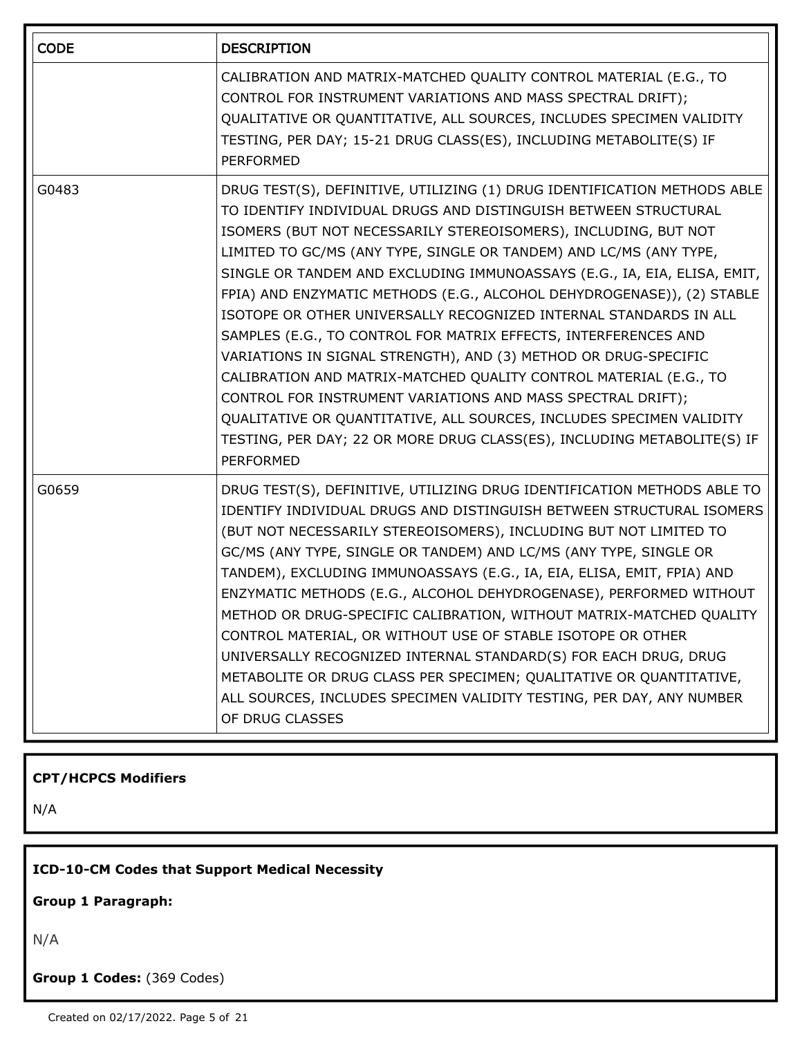| <b>CODE</b> | <b>DESCRIPTION</b>                                                                                                                                                                                                                                                                                                                                                                                                                                                                                                                                                                                                                                                                                                                                                                                                                                                                                                                                               |
|-------------|------------------------------------------------------------------------------------------------------------------------------------------------------------------------------------------------------------------------------------------------------------------------------------------------------------------------------------------------------------------------------------------------------------------------------------------------------------------------------------------------------------------------------------------------------------------------------------------------------------------------------------------------------------------------------------------------------------------------------------------------------------------------------------------------------------------------------------------------------------------------------------------------------------------------------------------------------------------|
|             | CALIBRATION AND MATRIX-MATCHED QUALITY CONTROL MATERIAL (E.G., TO<br>CONTROL FOR INSTRUMENT VARIATIONS AND MASS SPECTRAL DRIFT);<br>QUALITATIVE OR QUANTITATIVE, ALL SOURCES, INCLUDES SPECIMEN VALIDITY<br>TESTING, PER DAY; 15-21 DRUG CLASS(ES), INCLUDING METABOLITE(S) IF<br>PERFORMED                                                                                                                                                                                                                                                                                                                                                                                                                                                                                                                                                                                                                                                                      |
| G0483       | DRUG TEST(S), DEFINITIVE, UTILIZING (1) DRUG IDENTIFICATION METHODS ABLE<br>TO IDENTIFY INDIVIDUAL DRUGS AND DISTINGUISH BETWEEN STRUCTURAL<br>ISOMERS (BUT NOT NECESSARILY STEREOISOMERS), INCLUDING, BUT NOT<br>LIMITED TO GC/MS (ANY TYPE, SINGLE OR TANDEM) AND LC/MS (ANY TYPE,<br>SINGLE OR TANDEM AND EXCLUDING IMMUNOASSAYS (E.G., IA, EIA, ELISA, EMIT,<br>FPIA) AND ENZYMATIC METHODS (E.G., ALCOHOL DEHYDROGENASE)), (2) STABLE<br>ISOTOPE OR OTHER UNIVERSALLY RECOGNIZED INTERNAL STANDARDS IN ALL<br>SAMPLES (E.G., TO CONTROL FOR MATRIX EFFECTS, INTERFERENCES AND<br>VARIATIONS IN SIGNAL STRENGTH), AND (3) METHOD OR DRUG-SPECIFIC<br>CALIBRATION AND MATRIX-MATCHED QUALITY CONTROL MATERIAL (E.G., TO<br>CONTROL FOR INSTRUMENT VARIATIONS AND MASS SPECTRAL DRIFT);<br>QUALITATIVE OR QUANTITATIVE, ALL SOURCES, INCLUDES SPECIMEN VALIDITY<br>TESTING, PER DAY; 22 OR MORE DRUG CLASS(ES), INCLUDING METABOLITE(S) IF<br><b>PERFORMED</b> |
| G0659       | DRUG TEST(S), DEFINITIVE, UTILIZING DRUG IDENTIFICATION METHODS ABLE TO<br>IDENTIFY INDIVIDUAL DRUGS AND DISTINGUISH BETWEEN STRUCTURAL ISOMERS<br>(BUT NOT NECESSARILY STEREOISOMERS), INCLUDING BUT NOT LIMITED TO<br>GC/MS (ANY TYPE, SINGLE OR TANDEM) AND LC/MS (ANY TYPE, SINGLE OR<br>TANDEM), EXCLUDING IMMUNOASSAYS (E.G., IA, EIA, ELISA, EMIT, FPIA) AND<br>ENZYMATIC METHODS (E.G., ALCOHOL DEHYDROGENASE), PERFORMED WITHOUT<br>METHOD OR DRUG-SPECIFIC CALIBRATION, WITHOUT MATRIX-MATCHED QUALITY<br>CONTROL MATERIAL, OR WITHOUT USE OF STABLE ISOTOPE OR OTHER<br>UNIVERSALLY RECOGNIZED INTERNAL STANDARD(S) FOR EACH DRUG, DRUG<br>METABOLITE OR DRUG CLASS PER SPECIMEN; QUALITATIVE OR QUANTITATIVE,<br>ALL SOURCES, INCLUDES SPECIMEN VALIDITY TESTING, PER DAY, ANY NUMBER<br>OF DRUG CLASSES                                                                                                                                             |

### **CPT/HCPCS Modifiers**

N/A

## **ICD-10-CM Codes that Support Medical Necessity**

**Group 1 Paragraph:**

N/A

**Group 1 Codes:** (369 Codes)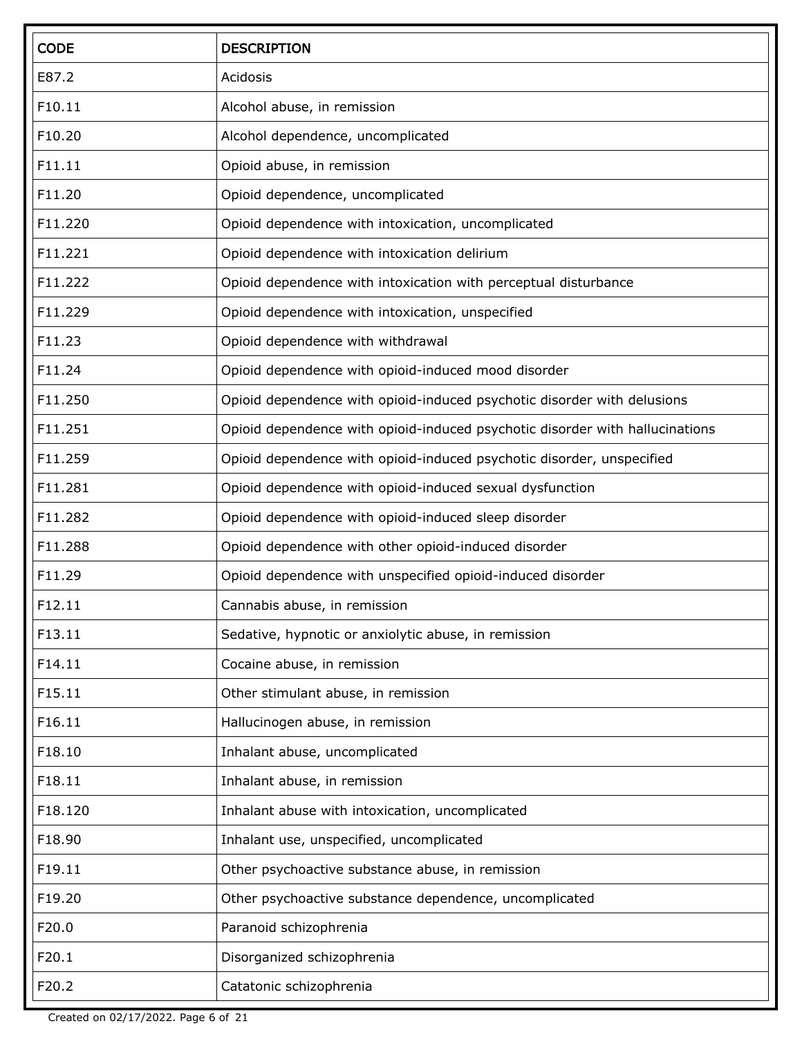| <b>CODE</b> | <b>DESCRIPTION</b>                                                           |
|-------------|------------------------------------------------------------------------------|
| E87.2       | Acidosis                                                                     |
| F10.11      | Alcohol abuse, in remission                                                  |
| F10.20      | Alcohol dependence, uncomplicated                                            |
| F11.11      | Opioid abuse, in remission                                                   |
| F11.20      | Opioid dependence, uncomplicated                                             |
| F11.220     | Opioid dependence with intoxication, uncomplicated                           |
| F11.221     | Opioid dependence with intoxication delirium                                 |
| F11.222     | Opioid dependence with intoxication with perceptual disturbance              |
| F11.229     | Opioid dependence with intoxication, unspecified                             |
| F11.23      | Opioid dependence with withdrawal                                            |
| F11.24      | Opioid dependence with opioid-induced mood disorder                          |
| F11.250     | Opioid dependence with opioid-induced psychotic disorder with delusions      |
| F11.251     | Opioid dependence with opioid-induced psychotic disorder with hallucinations |
| F11.259     | Opioid dependence with opioid-induced psychotic disorder, unspecified        |
| F11.281     | Opioid dependence with opioid-induced sexual dysfunction                     |
| F11.282     | Opioid dependence with opioid-induced sleep disorder                         |
| F11.288     | Opioid dependence with other opioid-induced disorder                         |
| F11.29      | Opioid dependence with unspecified opioid-induced disorder                   |
| F12.11      | Cannabis abuse, in remission                                                 |
| F13.11      | Sedative, hypnotic or anxiolytic abuse, in remission                         |
| F14.11      | Cocaine abuse, in remission                                                  |
| F15.11      | Other stimulant abuse, in remission                                          |
| F16.11      | Hallucinogen abuse, in remission                                             |
| F18.10      | Inhalant abuse, uncomplicated                                                |
| F18.11      | Inhalant abuse, in remission                                                 |
| F18.120     | Inhalant abuse with intoxication, uncomplicated                              |
| F18.90      | Inhalant use, unspecified, uncomplicated                                     |
| F19.11      | Other psychoactive substance abuse, in remission                             |
| F19.20      | Other psychoactive substance dependence, uncomplicated                       |
| F20.0       | Paranoid schizophrenia                                                       |
| F20.1       | Disorganized schizophrenia                                                   |
| F20.2       | Catatonic schizophrenia                                                      |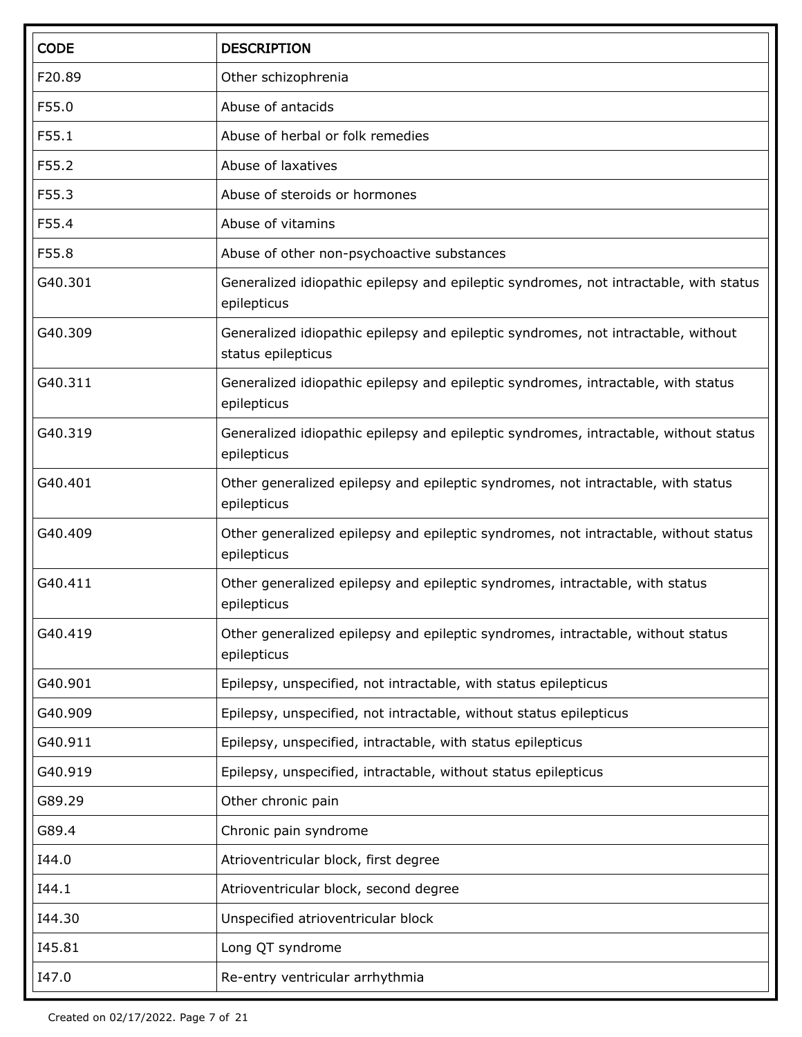| <b>CODE</b> | <b>DESCRIPTION</b>                                                                                      |
|-------------|---------------------------------------------------------------------------------------------------------|
| F20.89      | Other schizophrenia                                                                                     |
| F55.0       | Abuse of antacids                                                                                       |
| F55.1       | Abuse of herbal or folk remedies                                                                        |
| F55.2       | Abuse of laxatives                                                                                      |
| F55.3       | Abuse of steroids or hormones                                                                           |
| F55.4       | Abuse of vitamins                                                                                       |
| F55.8       | Abuse of other non-psychoactive substances                                                              |
| G40.301     | Generalized idiopathic epilepsy and epileptic syndromes, not intractable, with status<br>epilepticus    |
| G40.309     | Generalized idiopathic epilepsy and epileptic syndromes, not intractable, without<br>status epilepticus |
| G40.311     | Generalized idiopathic epilepsy and epileptic syndromes, intractable, with status<br>epilepticus        |
| G40.319     | Generalized idiopathic epilepsy and epileptic syndromes, intractable, without status<br>epilepticus     |
| G40.401     | Other generalized epilepsy and epileptic syndromes, not intractable, with status<br>epilepticus         |
| G40.409     | Other generalized epilepsy and epileptic syndromes, not intractable, without status<br>epilepticus      |
| G40.411     | Other generalized epilepsy and epileptic syndromes, intractable, with status<br>epilepticus             |
| G40.419     | Other generalized epilepsy and epileptic syndromes, intractable, without status<br>epilepticus          |
| G40.901     | Epilepsy, unspecified, not intractable, with status epilepticus                                         |
| G40.909     | Epilepsy, unspecified, not intractable, without status epilepticus                                      |
| G40.911     | Epilepsy, unspecified, intractable, with status epilepticus                                             |
| G40.919     | Epilepsy, unspecified, intractable, without status epilepticus                                          |
| G89.29      | Other chronic pain                                                                                      |
| G89.4       | Chronic pain syndrome                                                                                   |
| I44.0       | Atrioventricular block, first degree                                                                    |
| I44.1       | Atrioventricular block, second degree                                                                   |
| 144.30      | Unspecified atrioventricular block                                                                      |
| 145.81      | Long QT syndrome                                                                                        |
| I47.0       | Re-entry ventricular arrhythmia                                                                         |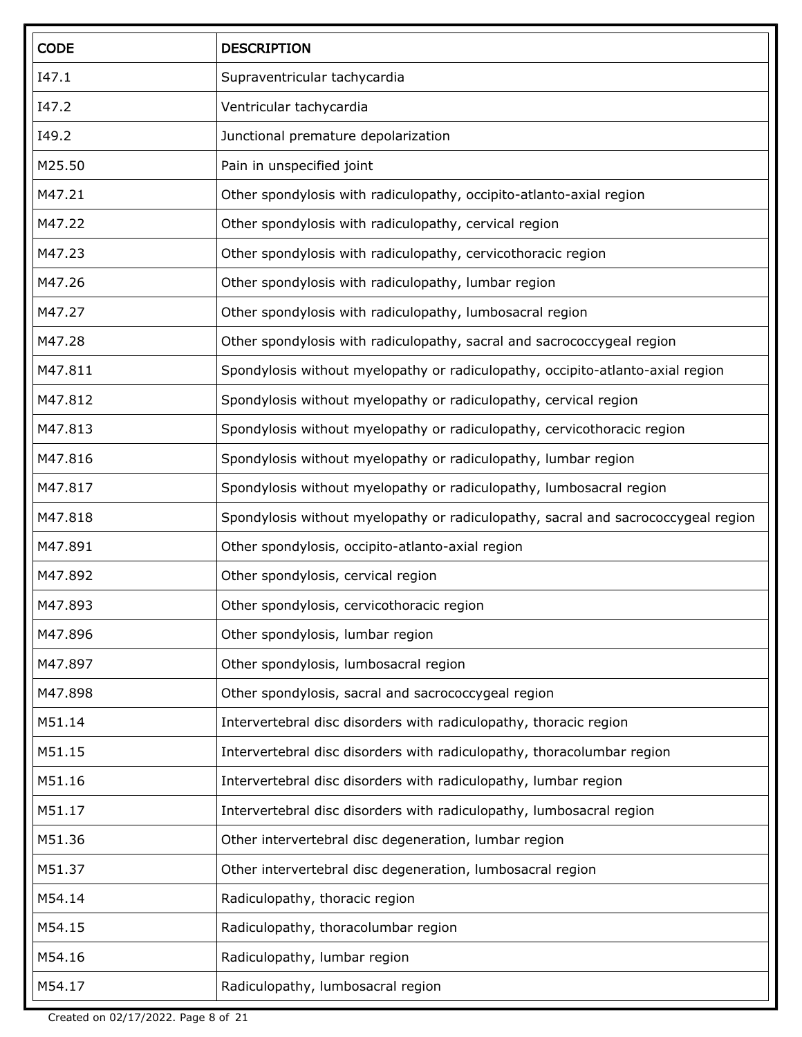| <b>CODE</b> | <b>DESCRIPTION</b>                                                                |
|-------------|-----------------------------------------------------------------------------------|
| I47.1       | Supraventricular tachycardia                                                      |
| I47.2       | Ventricular tachycardia                                                           |
| I49.2       | Junctional premature depolarization                                               |
| M25.50      | Pain in unspecified joint                                                         |
| M47.21      | Other spondylosis with radiculopathy, occipito-atlanto-axial region               |
| M47.22      | Other spondylosis with radiculopathy, cervical region                             |
| M47.23      | Other spondylosis with radiculopathy, cervicothoracic region                      |
| M47.26      | Other spondylosis with radiculopathy, lumbar region                               |
| M47.27      | Other spondylosis with radiculopathy, lumbosacral region                          |
| M47.28      | Other spondylosis with radiculopathy, sacral and sacrococcygeal region            |
| M47.811     | Spondylosis without myelopathy or radiculopathy, occipito-atlanto-axial region    |
| M47.812     | Spondylosis without myelopathy or radiculopathy, cervical region                  |
| M47.813     | Spondylosis without myelopathy or radiculopathy, cervicothoracic region           |
| M47.816     | Spondylosis without myelopathy or radiculopathy, lumbar region                    |
| M47.817     | Spondylosis without myelopathy or radiculopathy, lumbosacral region               |
| M47.818     | Spondylosis without myelopathy or radiculopathy, sacral and sacrococcygeal region |
| M47.891     | Other spondylosis, occipito-atlanto-axial region                                  |
| M47.892     | Other spondylosis, cervical region                                                |
| M47.893     | Other spondylosis, cervicothoracic region                                         |
| M47.896     | Other spondylosis, lumbar region                                                  |
| M47.897     | Other spondylosis, lumbosacral region                                             |
| M47.898     | Other spondylosis, sacral and sacrococcygeal region                               |
| M51.14      | Intervertebral disc disorders with radiculopathy, thoracic region                 |
| M51.15      | Intervertebral disc disorders with radiculopathy, thoracolumbar region            |
| M51.16      | Intervertebral disc disorders with radiculopathy, lumbar region                   |
| M51.17      | Intervertebral disc disorders with radiculopathy, lumbosacral region              |
| M51.36      | Other intervertebral disc degeneration, lumbar region                             |
| M51.37      | Other intervertebral disc degeneration, lumbosacral region                        |
| M54.14      | Radiculopathy, thoracic region                                                    |
| M54.15      | Radiculopathy, thoracolumbar region                                               |
| M54.16      | Radiculopathy, lumbar region                                                      |
| M54.17      | Radiculopathy, lumbosacral region                                                 |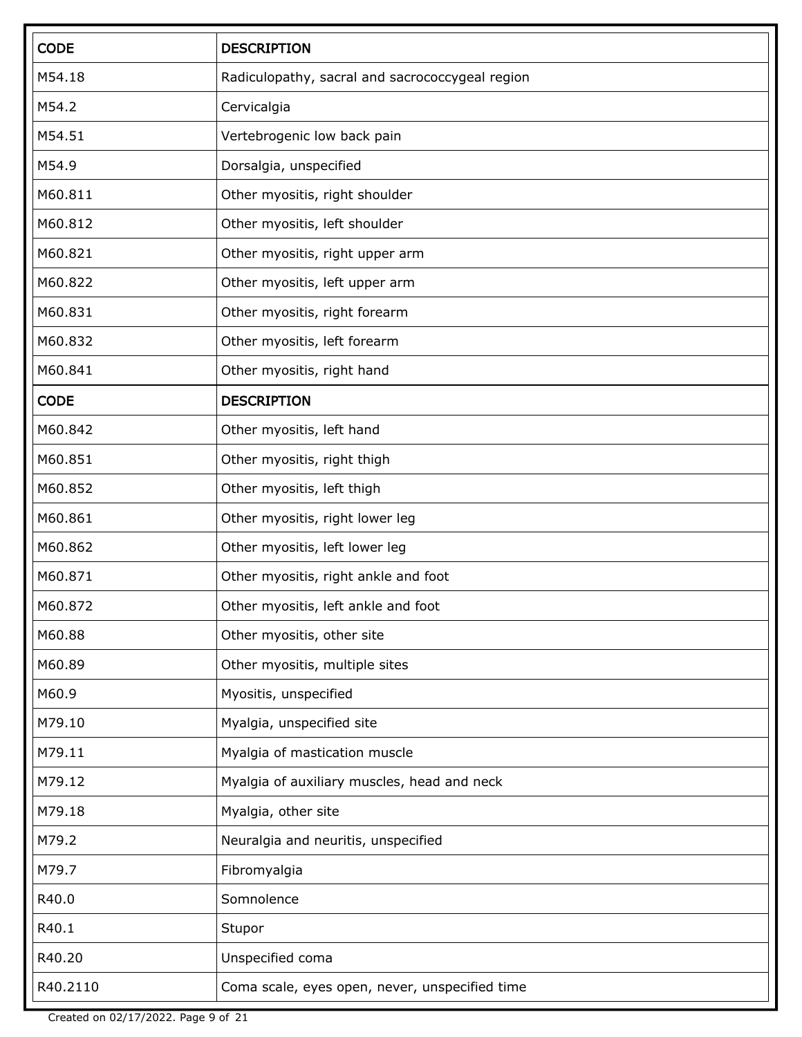| <b>CODE</b> | <b>DESCRIPTION</b>                              |
|-------------|-------------------------------------------------|
| M54.18      | Radiculopathy, sacral and sacrococcygeal region |
| M54.2       | Cervicalgia                                     |
| M54.51      | Vertebrogenic low back pain                     |
| M54.9       | Dorsalgia, unspecified                          |
| M60.811     | Other myositis, right shoulder                  |
| M60.812     | Other myositis, left shoulder                   |
| M60.821     | Other myositis, right upper arm                 |
| M60.822     | Other myositis, left upper arm                  |
| M60.831     | Other myositis, right forearm                   |
| M60.832     | Other myositis, left forearm                    |
| M60.841     | Other myositis, right hand                      |
| <b>CODE</b> | <b>DESCRIPTION</b>                              |
| M60.842     | Other myositis, left hand                       |
| M60.851     | Other myositis, right thigh                     |
| M60.852     | Other myositis, left thigh                      |
| M60.861     | Other myositis, right lower leg                 |
| M60.862     | Other myositis, left lower leg                  |
| M60.871     | Other myositis, right ankle and foot            |
| M60.872     | Other myositis, left ankle and foot             |
| M60.88      | Other myositis, other site                      |
| M60.89      | Other myositis, multiple sites                  |
| M60.9       | Myositis, unspecified                           |
| M79.10      | Myalgia, unspecified site                       |
| M79.11      | Myalgia of mastication muscle                   |
| M79.12      | Myalgia of auxiliary muscles, head and neck     |
| M79.18      | Myalgia, other site                             |
| M79.2       | Neuralgia and neuritis, unspecified             |
| M79.7       | Fibromyalgia                                    |
| R40.0       | Somnolence                                      |
| R40.1       | Stupor                                          |
| R40.20      | Unspecified coma                                |
| R40.2110    | Coma scale, eyes open, never, unspecified time  |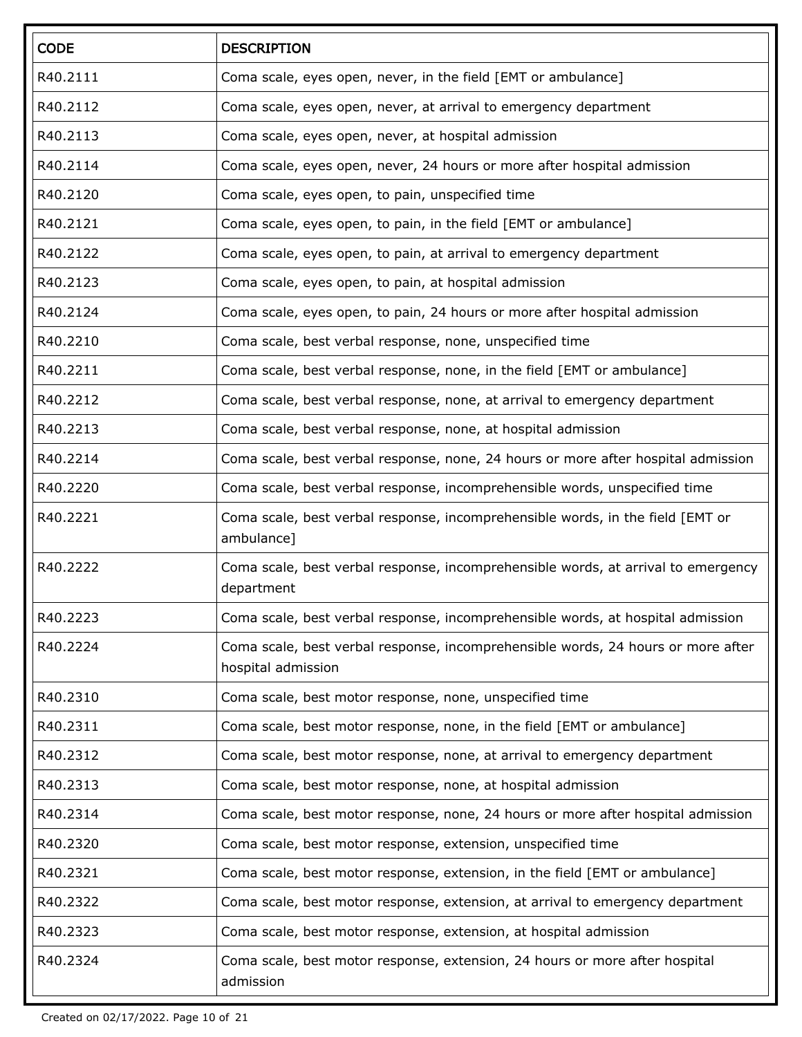| <b>CODE</b> | <b>DESCRIPTION</b>                                                                                     |
|-------------|--------------------------------------------------------------------------------------------------------|
| R40.2111    | Coma scale, eyes open, never, in the field [EMT or ambulance]                                          |
| R40.2112    | Coma scale, eyes open, never, at arrival to emergency department                                       |
| R40.2113    | Coma scale, eyes open, never, at hospital admission                                                    |
| R40.2114    | Coma scale, eyes open, never, 24 hours or more after hospital admission                                |
| R40.2120    | Coma scale, eyes open, to pain, unspecified time                                                       |
| R40.2121    | Coma scale, eyes open, to pain, in the field [EMT or ambulance]                                        |
| R40.2122    | Coma scale, eyes open, to pain, at arrival to emergency department                                     |
| R40.2123    | Coma scale, eyes open, to pain, at hospital admission                                                  |
| R40.2124    | Coma scale, eyes open, to pain, 24 hours or more after hospital admission                              |
| R40.2210    | Coma scale, best verbal response, none, unspecified time                                               |
| R40.2211    | Coma scale, best verbal response, none, in the field [EMT or ambulance]                                |
| R40.2212    | Coma scale, best verbal response, none, at arrival to emergency department                             |
| R40.2213    | Coma scale, best verbal response, none, at hospital admission                                          |
| R40.2214    | Coma scale, best verbal response, none, 24 hours or more after hospital admission                      |
| R40.2220    | Coma scale, best verbal response, incomprehensible words, unspecified time                             |
| R40.2221    | Coma scale, best verbal response, incomprehensible words, in the field [EMT or<br>ambulance]           |
| R40.2222    | Coma scale, best verbal response, incomprehensible words, at arrival to emergency<br>department        |
| R40.2223    | Coma scale, best verbal response, incomprehensible words, at hospital admission                        |
| R40.2224    | Coma scale, best verbal response, incomprehensible words, 24 hours or more after<br>hospital admission |
| R40.2310    | Coma scale, best motor response, none, unspecified time                                                |
| R40.2311    | Coma scale, best motor response, none, in the field [EMT or ambulance]                                 |
| R40.2312    | Coma scale, best motor response, none, at arrival to emergency department                              |
| R40.2313    | Coma scale, best motor response, none, at hospital admission                                           |
| R40.2314    | Coma scale, best motor response, none, 24 hours or more after hospital admission                       |
| R40.2320    | Coma scale, best motor response, extension, unspecified time                                           |
| R40.2321    | Coma scale, best motor response, extension, in the field [EMT or ambulance]                            |
| R40.2322    | Coma scale, best motor response, extension, at arrival to emergency department                         |
| R40.2323    | Coma scale, best motor response, extension, at hospital admission                                      |
| R40.2324    | Coma scale, best motor response, extension, 24 hours or more after hospital<br>admission               |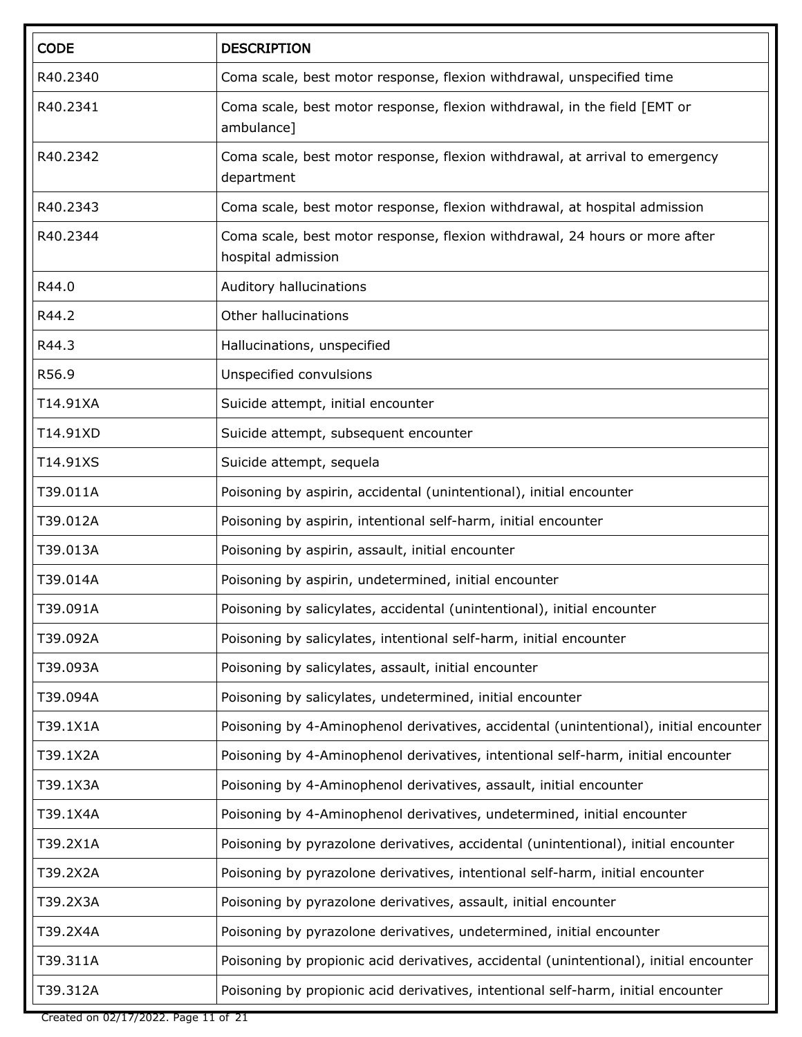| <b>CODE</b> | <b>DESCRIPTION</b>                                                                                |
|-------------|---------------------------------------------------------------------------------------------------|
| R40.2340    | Coma scale, best motor response, flexion withdrawal, unspecified time                             |
| R40.2341    | Coma scale, best motor response, flexion withdrawal, in the field [EMT or<br>ambulance]           |
| R40.2342    | Coma scale, best motor response, flexion withdrawal, at arrival to emergency<br>department        |
| R40.2343    | Coma scale, best motor response, flexion withdrawal, at hospital admission                        |
| R40.2344    | Coma scale, best motor response, flexion withdrawal, 24 hours or more after<br>hospital admission |
| R44.0       | Auditory hallucinations                                                                           |
| R44.2       | Other hallucinations                                                                              |
| R44.3       | Hallucinations, unspecified                                                                       |
| R56.9       | Unspecified convulsions                                                                           |
| T14.91XA    | Suicide attempt, initial encounter                                                                |
| T14.91XD    | Suicide attempt, subsequent encounter                                                             |
| T14.91XS    | Suicide attempt, sequela                                                                          |
| T39.011A    | Poisoning by aspirin, accidental (unintentional), initial encounter                               |
| T39.012A    | Poisoning by aspirin, intentional self-harm, initial encounter                                    |
| T39.013A    | Poisoning by aspirin, assault, initial encounter                                                  |
| T39.014A    | Poisoning by aspirin, undetermined, initial encounter                                             |
| T39.091A    | Poisoning by salicylates, accidental (unintentional), initial encounter                           |
| T39.092A    | Poisoning by salicylates, intentional self-harm, initial encounter                                |
| T39.093A    | Poisoning by salicylates, assault, initial encounter                                              |
| T39.094A    | Poisoning by salicylates, undetermined, initial encounter                                         |
| T39.1X1A    | Poisoning by 4-Aminophenol derivatives, accidental (unintentional), initial encounter             |
| T39.1X2A    | Poisoning by 4-Aminophenol derivatives, intentional self-harm, initial encounter                  |
| T39.1X3A    | Poisoning by 4-Aminophenol derivatives, assault, initial encounter                                |
| T39.1X4A    | Poisoning by 4-Aminophenol derivatives, undetermined, initial encounter                           |
| T39.2X1A    | Poisoning by pyrazolone derivatives, accidental (unintentional), initial encounter                |
| T39.2X2A    | Poisoning by pyrazolone derivatives, intentional self-harm, initial encounter                     |
| T39.2X3A    | Poisoning by pyrazolone derivatives, assault, initial encounter                                   |
| T39.2X4A    | Poisoning by pyrazolone derivatives, undetermined, initial encounter                              |
| T39.311A    | Poisoning by propionic acid derivatives, accidental (unintentional), initial encounter            |
| T39.312A    | Poisoning by propionic acid derivatives, intentional self-harm, initial encounter                 |

Created on 02/17/2022. Page 11 of 21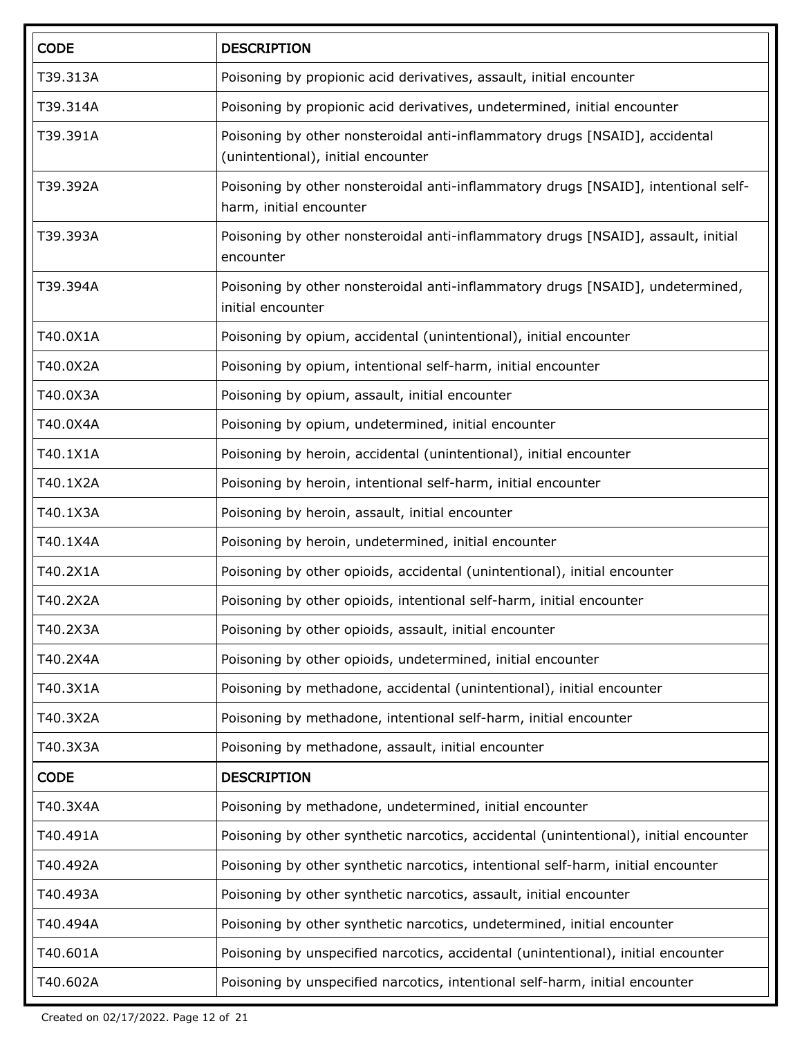| <b>CODE</b> | <b>DESCRIPTION</b>                                                                                                |
|-------------|-------------------------------------------------------------------------------------------------------------------|
| T39.313A    | Poisoning by propionic acid derivatives, assault, initial encounter                                               |
| T39.314A    | Poisoning by propionic acid derivatives, undetermined, initial encounter                                          |
| T39.391A    | Poisoning by other nonsteroidal anti-inflammatory drugs [NSAID], accidental<br>(unintentional), initial encounter |
| T39.392A    | Poisoning by other nonsteroidal anti-inflammatory drugs [NSAID], intentional self-<br>harm, initial encounter     |
| T39.393A    | Poisoning by other nonsteroidal anti-inflammatory drugs [NSAID], assault, initial<br>encounter                    |
| T39.394A    | Poisoning by other nonsteroidal anti-inflammatory drugs [NSAID], undetermined,<br>initial encounter               |
| T40.0X1A    | Poisoning by opium, accidental (unintentional), initial encounter                                                 |
| T40.0X2A    | Poisoning by opium, intentional self-harm, initial encounter                                                      |
| T40.0X3A    | Poisoning by opium, assault, initial encounter                                                                    |
| T40.0X4A    | Poisoning by opium, undetermined, initial encounter                                                               |
| T40.1X1A    | Poisoning by heroin, accidental (unintentional), initial encounter                                                |
| T40.1X2A    | Poisoning by heroin, intentional self-harm, initial encounter                                                     |
| T40.1X3A    | Poisoning by heroin, assault, initial encounter                                                                   |
| T40.1X4A    | Poisoning by heroin, undetermined, initial encounter                                                              |
| T40.2X1A    | Poisoning by other opioids, accidental (unintentional), initial encounter                                         |
| T40.2X2A    | Poisoning by other opioids, intentional self-harm, initial encounter                                              |
| T40.2X3A    | Poisoning by other opioids, assault, initial encounter                                                            |
| T40.2X4A    | Poisoning by other opioids, undetermined, initial encounter                                                       |
| T40.3X1A    | Poisoning by methadone, accidental (unintentional), initial encounter                                             |
| T40.3X2A    | Poisoning by methadone, intentional self-harm, initial encounter                                                  |
| T40.3X3A    | Poisoning by methadone, assault, initial encounter                                                                |
| <b>CODE</b> | <b>DESCRIPTION</b>                                                                                                |
| T40.3X4A    | Poisoning by methadone, undetermined, initial encounter                                                           |
| T40.491A    | Poisoning by other synthetic narcotics, accidental (unintentional), initial encounter                             |
| T40.492A    | Poisoning by other synthetic narcotics, intentional self-harm, initial encounter                                  |
| T40.493A    | Poisoning by other synthetic narcotics, assault, initial encounter                                                |
| T40.494A    | Poisoning by other synthetic narcotics, undetermined, initial encounter                                           |
| T40.601A    | Poisoning by unspecified narcotics, accidental (unintentional), initial encounter                                 |
| T40.602A    | Poisoning by unspecified narcotics, intentional self-harm, initial encounter                                      |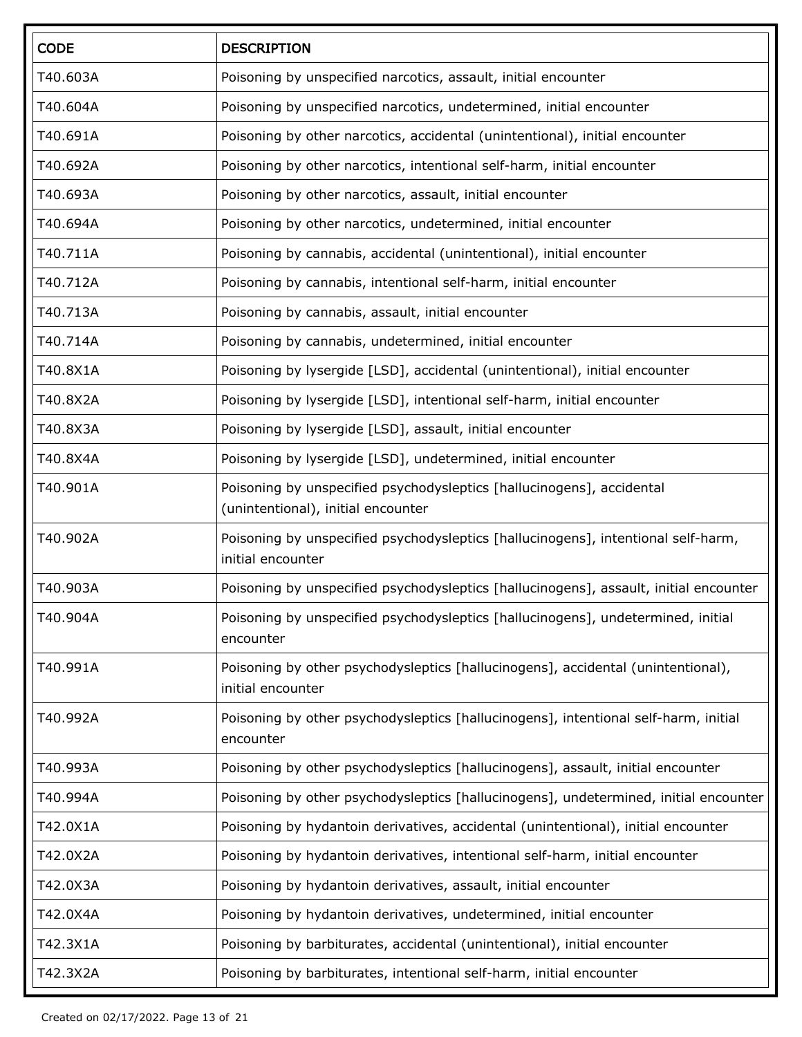| <b>CODE</b> | <b>DESCRIPTION</b>                                                                                          |  |
|-------------|-------------------------------------------------------------------------------------------------------------|--|
| T40.603A    | Poisoning by unspecified narcotics, assault, initial encounter                                              |  |
| T40.604A    | Poisoning by unspecified narcotics, undetermined, initial encounter                                         |  |
| T40.691A    | Poisoning by other narcotics, accidental (unintentional), initial encounter                                 |  |
| T40.692A    | Poisoning by other narcotics, intentional self-harm, initial encounter                                      |  |
| T40.693A    | Poisoning by other narcotics, assault, initial encounter                                                    |  |
| T40.694A    | Poisoning by other narcotics, undetermined, initial encounter                                               |  |
| T40.711A    | Poisoning by cannabis, accidental (unintentional), initial encounter                                        |  |
| T40.712A    | Poisoning by cannabis, intentional self-harm, initial encounter                                             |  |
| T40.713A    | Poisoning by cannabis, assault, initial encounter                                                           |  |
| T40.714A    | Poisoning by cannabis, undetermined, initial encounter                                                      |  |
| T40.8X1A    | Poisoning by lysergide [LSD], accidental (unintentional), initial encounter                                 |  |
| T40.8X2A    | Poisoning by lysergide [LSD], intentional self-harm, initial encounter                                      |  |
| T40.8X3A    | Poisoning by lysergide [LSD], assault, initial encounter                                                    |  |
| T40.8X4A    | Poisoning by lysergide [LSD], undetermined, initial encounter                                               |  |
| T40.901A    | Poisoning by unspecified psychodysleptics [hallucinogens], accidental<br>(unintentional), initial encounter |  |
| T40.902A    | Poisoning by unspecified psychodysleptics [hallucinogens], intentional self-harm,<br>initial encounter      |  |
| T40.903A    | Poisoning by unspecified psychodysleptics [hallucinogens], assault, initial encounter                       |  |
| T40.904A    | Poisoning by unspecified psychodysleptics [hallucinogens], undetermined, initial<br>encounter               |  |
| T40.991A    | Poisoning by other psychodysleptics [hallucinogens], accidental (unintentional),<br>initial encounter       |  |
| T40.992A    | Poisoning by other psychodysleptics [hallucinogens], intentional self-harm, initial<br>encounter            |  |
| T40.993A    | Poisoning by other psychodysleptics [hallucinogens], assault, initial encounter                             |  |
| T40.994A    | Poisoning by other psychodysleptics [hallucinogens], undetermined, initial encounter                        |  |
| T42.0X1A    | Poisoning by hydantoin derivatives, accidental (unintentional), initial encounter                           |  |
| T42.0X2A    | Poisoning by hydantoin derivatives, intentional self-harm, initial encounter                                |  |
| T42.0X3A    | Poisoning by hydantoin derivatives, assault, initial encounter                                              |  |
| T42.0X4A    | Poisoning by hydantoin derivatives, undetermined, initial encounter                                         |  |
| T42.3X1A    | Poisoning by barbiturates, accidental (unintentional), initial encounter                                    |  |
| T42.3X2A    | Poisoning by barbiturates, intentional self-harm, initial encounter                                         |  |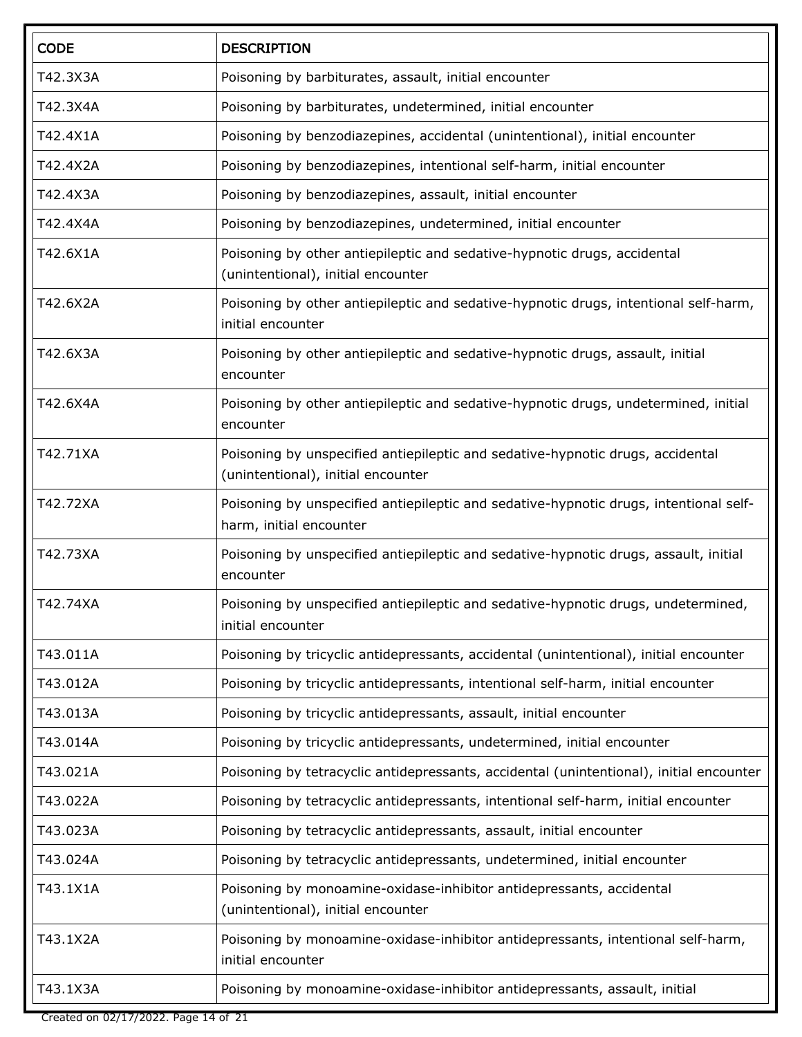| <b>CODE</b> | <b>DESCRIPTION</b>                                                                                                   |  |
|-------------|----------------------------------------------------------------------------------------------------------------------|--|
| T42.3X3A    | Poisoning by barbiturates, assault, initial encounter                                                                |  |
| T42.3X4A    | Poisoning by barbiturates, undetermined, initial encounter                                                           |  |
| T42.4X1A    | Poisoning by benzodiazepines, accidental (unintentional), initial encounter                                          |  |
| T42.4X2A    | Poisoning by benzodiazepines, intentional self-harm, initial encounter                                               |  |
| T42.4X3A    | Poisoning by benzodiazepines, assault, initial encounter                                                             |  |
| T42.4X4A    | Poisoning by benzodiazepines, undetermined, initial encounter                                                        |  |
| T42.6X1A    | Poisoning by other antiepileptic and sedative-hypnotic drugs, accidental<br>(unintentional), initial encounter       |  |
| T42.6X2A    | Poisoning by other antiepileptic and sedative-hypnotic drugs, intentional self-harm,<br>initial encounter            |  |
| T42.6X3A    | Poisoning by other antiepileptic and sedative-hypnotic drugs, assault, initial<br>encounter                          |  |
| T42.6X4A    | Poisoning by other antiepileptic and sedative-hypnotic drugs, undetermined, initial<br>encounter                     |  |
| T42.71XA    | Poisoning by unspecified antiepileptic and sedative-hypnotic drugs, accidental<br>(unintentional), initial encounter |  |
| T42.72XA    | Poisoning by unspecified antiepileptic and sedative-hypnotic drugs, intentional self-<br>harm, initial encounter     |  |
| T42.73XA    | Poisoning by unspecified antiepileptic and sedative-hypnotic drugs, assault, initial<br>encounter                    |  |
| T42.74XA    | Poisoning by unspecified antiepileptic and sedative-hypnotic drugs, undetermined,<br>initial encounter               |  |
| T43.011A    | Poisoning by tricyclic antidepressants, accidental (unintentional), initial encounter                                |  |
| T43.012A    | Poisoning by tricyclic antidepressants, intentional self-harm, initial encounter                                     |  |
| T43.013A    | Poisoning by tricyclic antidepressants, assault, initial encounter                                                   |  |
| T43.014A    | Poisoning by tricyclic antidepressants, undetermined, initial encounter                                              |  |
| T43.021A    | Poisoning by tetracyclic antidepressants, accidental (unintentional), initial encounter                              |  |
| T43.022A    | Poisoning by tetracyclic antidepressants, intentional self-harm, initial encounter                                   |  |
| T43.023A    | Poisoning by tetracyclic antidepressants, assault, initial encounter                                                 |  |
| T43.024A    | Poisoning by tetracyclic antidepressants, undetermined, initial encounter                                            |  |
| T43.1X1A    | Poisoning by monoamine-oxidase-inhibitor antidepressants, accidental<br>(unintentional), initial encounter           |  |
| T43.1X2A    | Poisoning by monoamine-oxidase-inhibitor antidepressants, intentional self-harm,<br>initial encounter                |  |
| T43.1X3A    | Poisoning by monoamine-oxidase-inhibitor antidepressants, assault, initial                                           |  |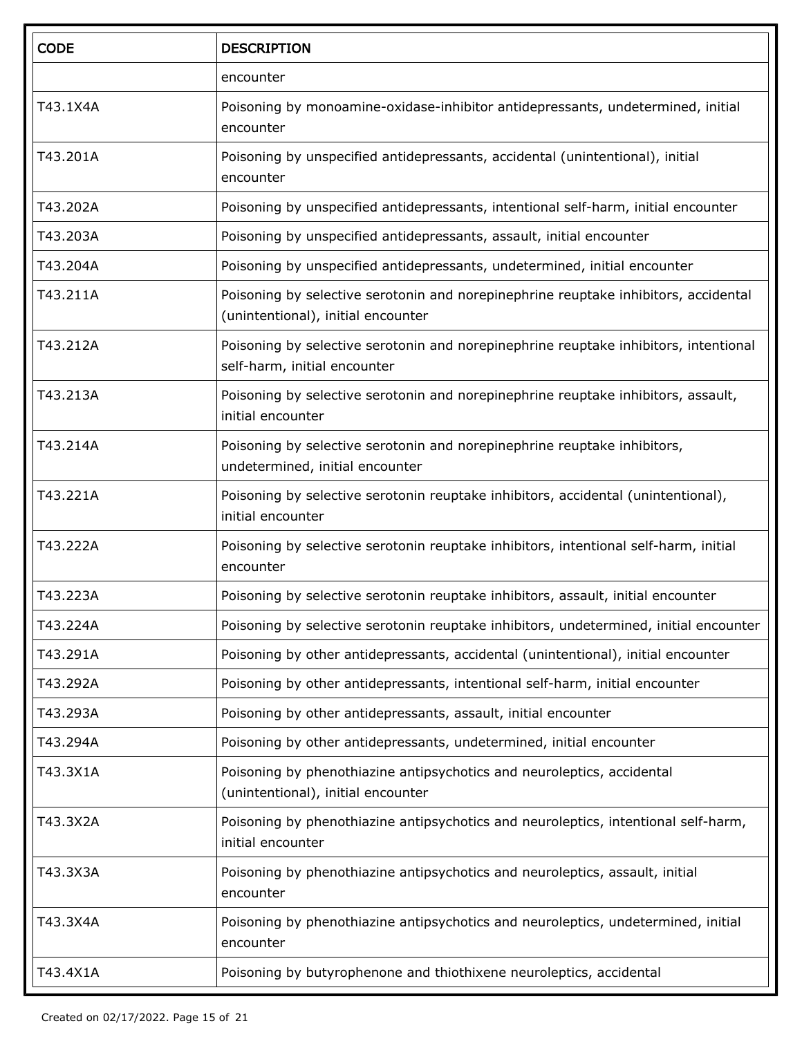| <b>CODE</b> | <b>DESCRIPTION</b>                                                                                                        |  |
|-------------|---------------------------------------------------------------------------------------------------------------------------|--|
|             | encounter                                                                                                                 |  |
| T43.1X4A    | Poisoning by monoamine-oxidase-inhibitor antidepressants, undetermined, initial<br>encounter                              |  |
| T43.201A    | Poisoning by unspecified antidepressants, accidental (unintentional), initial<br>encounter                                |  |
| T43.202A    | Poisoning by unspecified antidepressants, intentional self-harm, initial encounter                                        |  |
| T43.203A    | Poisoning by unspecified antidepressants, assault, initial encounter                                                      |  |
| T43.204A    | Poisoning by unspecified antidepressants, undetermined, initial encounter                                                 |  |
| T43.211A    | Poisoning by selective serotonin and norepinephrine reuptake inhibitors, accidental<br>(unintentional), initial encounter |  |
| T43.212A    | Poisoning by selective serotonin and norepinephrine reuptake inhibitors, intentional<br>self-harm, initial encounter      |  |
| T43.213A    | Poisoning by selective serotonin and norepinephrine reuptake inhibitors, assault,<br>initial encounter                    |  |
| T43.214A    | Poisoning by selective serotonin and norepinephrine reuptake inhibitors,<br>undetermined, initial encounter               |  |
| T43.221A    | Poisoning by selective serotonin reuptake inhibitors, accidental (unintentional),<br>initial encounter                    |  |
| T43.222A    | Poisoning by selective serotonin reuptake inhibitors, intentional self-harm, initial<br>encounter                         |  |
| T43.223A    | Poisoning by selective serotonin reuptake inhibitors, assault, initial encounter                                          |  |
| T43.224A    | Poisoning by selective serotonin reuptake inhibitors, undetermined, initial encounter                                     |  |
| T43.291A    | Poisoning by other antidepressants, accidental (unintentional), initial encounter                                         |  |
| T43.292A    | Poisoning by other antidepressants, intentional self-harm, initial encounter                                              |  |
| T43.293A    | Poisoning by other antidepressants, assault, initial encounter                                                            |  |
| T43.294A    | Poisoning by other antidepressants, undetermined, initial encounter                                                       |  |
| T43.3X1A    | Poisoning by phenothiazine antipsychotics and neuroleptics, accidental<br>(unintentional), initial encounter              |  |
| T43.3X2A    | Poisoning by phenothiazine antipsychotics and neuroleptics, intentional self-harm,<br>initial encounter                   |  |
| T43.3X3A    | Poisoning by phenothiazine antipsychotics and neuroleptics, assault, initial<br>encounter                                 |  |
| T43.3X4A    | Poisoning by phenothiazine antipsychotics and neuroleptics, undetermined, initial<br>encounter                            |  |
| T43.4X1A    | Poisoning by butyrophenone and thiothixene neuroleptics, accidental                                                       |  |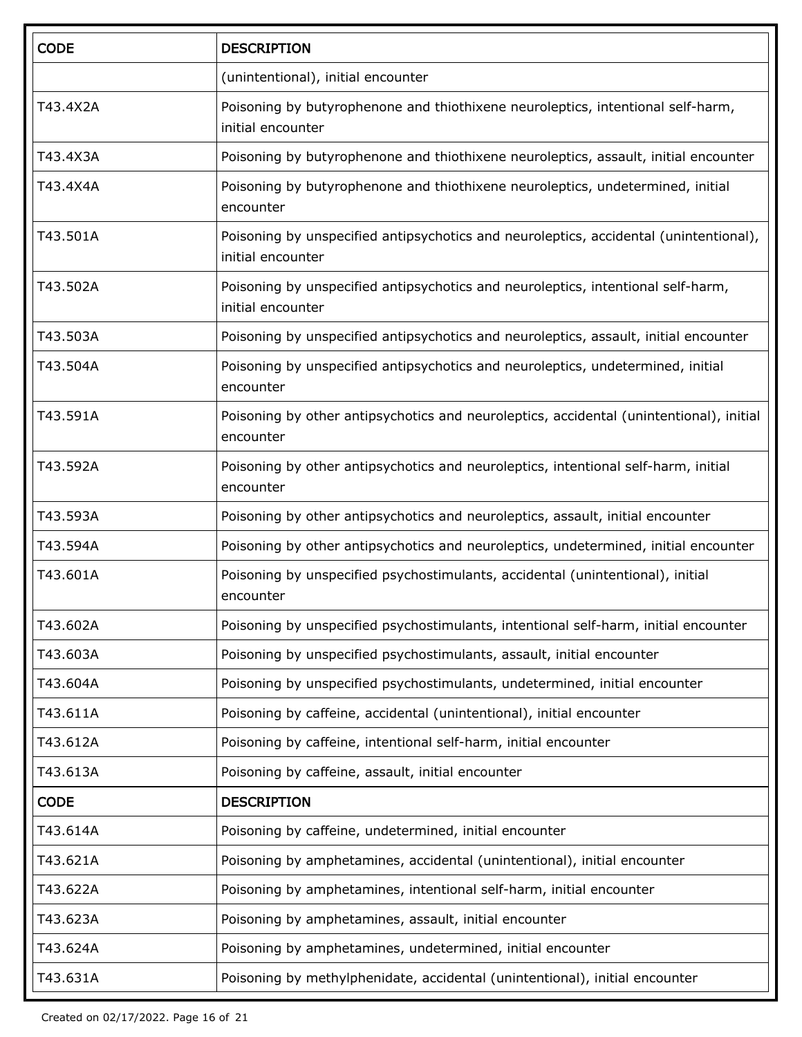| <b>CODE</b> | <b>DESCRIPTION</b>                                                                                         |  |
|-------------|------------------------------------------------------------------------------------------------------------|--|
|             | (unintentional), initial encounter                                                                         |  |
| T43.4X2A    | Poisoning by butyrophenone and thiothixene neuroleptics, intentional self-harm,<br>initial encounter       |  |
| T43.4X3A    | Poisoning by butyrophenone and thiothixene neuroleptics, assault, initial encounter                        |  |
| T43.4X4A    | Poisoning by butyrophenone and thiothixene neuroleptics, undetermined, initial<br>encounter                |  |
| T43.501A    | Poisoning by unspecified antipsychotics and neuroleptics, accidental (unintentional),<br>initial encounter |  |
| T43.502A    | Poisoning by unspecified antipsychotics and neuroleptics, intentional self-harm,<br>initial encounter      |  |
| T43.503A    | Poisoning by unspecified antipsychotics and neuroleptics, assault, initial encounter                       |  |
| T43.504A    | Poisoning by unspecified antipsychotics and neuroleptics, undetermined, initial<br>encounter               |  |
| T43.591A    | Poisoning by other antipsychotics and neuroleptics, accidental (unintentional), initial<br>encounter       |  |
| T43.592A    | Poisoning by other antipsychotics and neuroleptics, intentional self-harm, initial<br>encounter            |  |
| T43.593A    | Poisoning by other antipsychotics and neuroleptics, assault, initial encounter                             |  |
| T43.594A    | Poisoning by other antipsychotics and neuroleptics, undetermined, initial encounter                        |  |
| T43.601A    | Poisoning by unspecified psychostimulants, accidental (unintentional), initial<br>encounter                |  |
| T43.602A    | Poisoning by unspecified psychostimulants, intentional self-harm, initial encounter                        |  |
| T43.603A    | Poisoning by unspecified psychostimulants, assault, initial encounter                                      |  |
| T43.604A    | Poisoning by unspecified psychostimulants, undetermined, initial encounter                                 |  |
| T43.611A    | Poisoning by caffeine, accidental (unintentional), initial encounter                                       |  |
| T43.612A    | Poisoning by caffeine, intentional self-harm, initial encounter                                            |  |
| T43.613A    | Poisoning by caffeine, assault, initial encounter                                                          |  |
| <b>CODE</b> | <b>DESCRIPTION</b>                                                                                         |  |
| T43.614A    | Poisoning by caffeine, undetermined, initial encounter                                                     |  |
| T43.621A    | Poisoning by amphetamines, accidental (unintentional), initial encounter                                   |  |
| T43.622A    | Poisoning by amphetamines, intentional self-harm, initial encounter                                        |  |
| T43.623A    | Poisoning by amphetamines, assault, initial encounter                                                      |  |
| T43.624A    | Poisoning by amphetamines, undetermined, initial encounter                                                 |  |
| T43.631A    | Poisoning by methylphenidate, accidental (unintentional), initial encounter                                |  |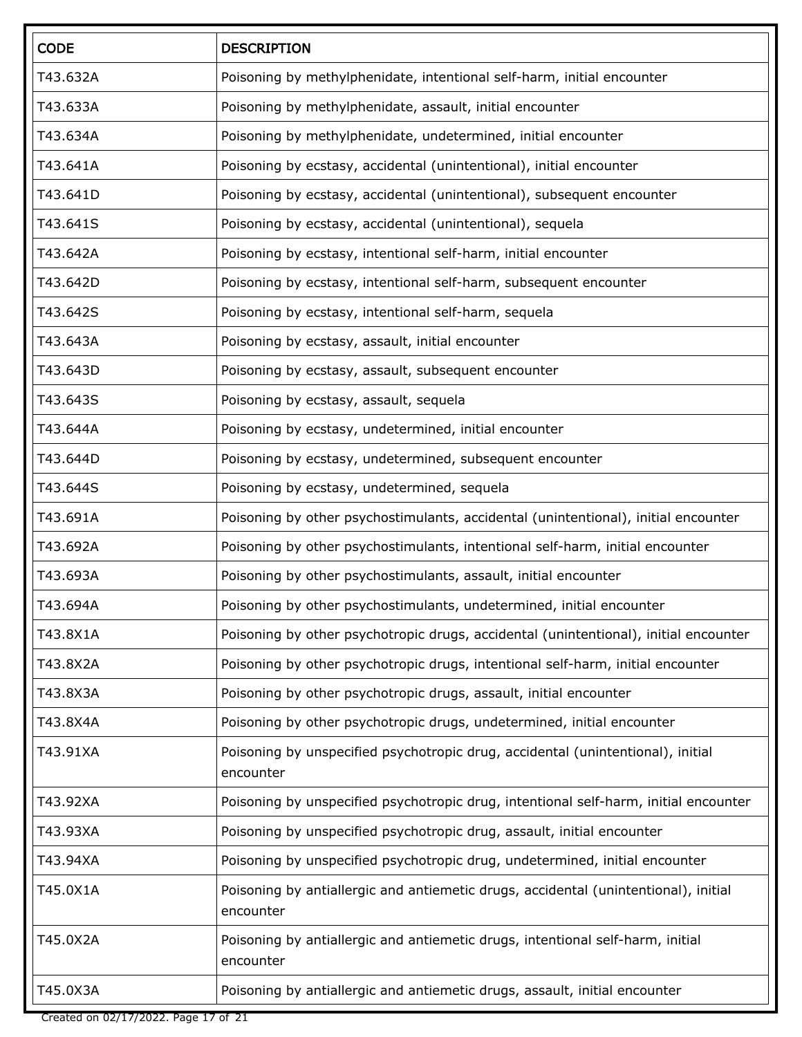| <b>CODE</b> | <b>DESCRIPTION</b>                                                                               |  |
|-------------|--------------------------------------------------------------------------------------------------|--|
| T43.632A    | Poisoning by methylphenidate, intentional self-harm, initial encounter                           |  |
| T43.633A    | Poisoning by methylphenidate, assault, initial encounter                                         |  |
| T43.634A    | Poisoning by methylphenidate, undetermined, initial encounter                                    |  |
| T43.641A    | Poisoning by ecstasy, accidental (unintentional), initial encounter                              |  |
| T43.641D    | Poisoning by ecstasy, accidental (unintentional), subsequent encounter                           |  |
| T43.641S    | Poisoning by ecstasy, accidental (unintentional), sequela                                        |  |
| T43.642A    | Poisoning by ecstasy, intentional self-harm, initial encounter                                   |  |
| T43.642D    | Poisoning by ecstasy, intentional self-harm, subsequent encounter                                |  |
| T43.642S    | Poisoning by ecstasy, intentional self-harm, sequela                                             |  |
| T43.643A    | Poisoning by ecstasy, assault, initial encounter                                                 |  |
| T43.643D    | Poisoning by ecstasy, assault, subsequent encounter                                              |  |
| T43.643S    | Poisoning by ecstasy, assault, sequela                                                           |  |
| T43.644A    | Poisoning by ecstasy, undetermined, initial encounter                                            |  |
| T43.644D    | Poisoning by ecstasy, undetermined, subsequent encounter                                         |  |
| T43.644S    | Poisoning by ecstasy, undetermined, sequela                                                      |  |
| T43.691A    | Poisoning by other psychostimulants, accidental (unintentional), initial encounter               |  |
| T43.692A    | Poisoning by other psychostimulants, intentional self-harm, initial encounter                    |  |
| T43.693A    | Poisoning by other psychostimulants, assault, initial encounter                                  |  |
| T43.694A    | Poisoning by other psychostimulants, undetermined, initial encounter                             |  |
| T43.8X1A    | Poisoning by other psychotropic drugs, accidental (unintentional), initial encounter             |  |
| T43.8X2A    | Poisoning by other psychotropic drugs, intentional self-harm, initial encounter                  |  |
| T43.8X3A    | Poisoning by other psychotropic drugs, assault, initial encounter                                |  |
| T43.8X4A    | Poisoning by other psychotropic drugs, undetermined, initial encounter                           |  |
| T43.91XA    | Poisoning by unspecified psychotropic drug, accidental (unintentional), initial<br>encounter     |  |
| T43.92XA    | Poisoning by unspecified psychotropic drug, intentional self-harm, initial encounter             |  |
| T43.93XA    | Poisoning by unspecified psychotropic drug, assault, initial encounter                           |  |
| T43.94XA    | Poisoning by unspecified psychotropic drug, undetermined, initial encounter                      |  |
| T45.0X1A    | Poisoning by antiallergic and antiemetic drugs, accidental (unintentional), initial<br>encounter |  |
| T45.0X2A    | Poisoning by antiallergic and antiemetic drugs, intentional self-harm, initial<br>encounter      |  |
| T45.0X3A    | Poisoning by antiallergic and antiemetic drugs, assault, initial encounter                       |  |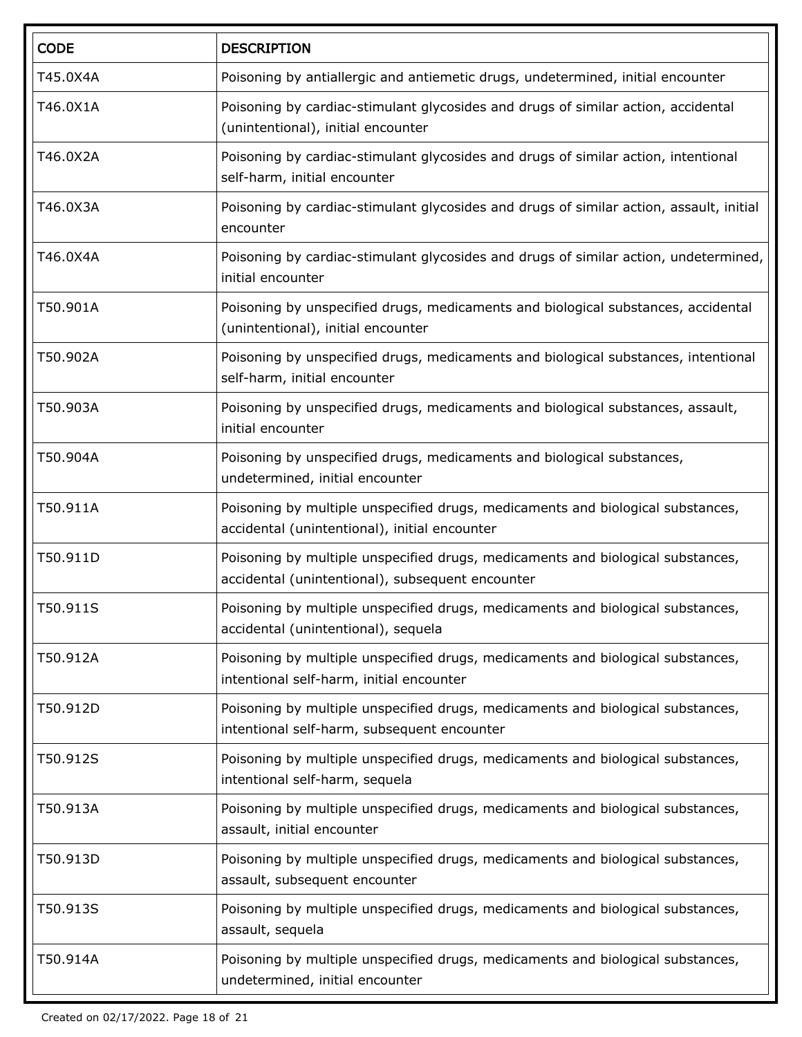| <b>CODE</b> | <b>DESCRIPTION</b>                                                                                                                  |  |  |
|-------------|-------------------------------------------------------------------------------------------------------------------------------------|--|--|
| T45.0X4A    | Poisoning by antiallergic and antiemetic drugs, undetermined, initial encounter                                                     |  |  |
| T46.0X1A    | Poisoning by cardiac-stimulant glycosides and drugs of similar action, accidental<br>(unintentional), initial encounter             |  |  |
| T46.0X2A    | Poisoning by cardiac-stimulant glycosides and drugs of similar action, intentional<br>self-harm, initial encounter                  |  |  |
| T46.0X3A    | Poisoning by cardiac-stimulant glycosides and drugs of similar action, assault, initial<br>encounter                                |  |  |
| T46.0X4A    | Poisoning by cardiac-stimulant glycosides and drugs of similar action, undetermined,<br>initial encounter                           |  |  |
| T50.901A    | Poisoning by unspecified drugs, medicaments and biological substances, accidental<br>(unintentional), initial encounter             |  |  |
| T50.902A    | Poisoning by unspecified drugs, medicaments and biological substances, intentional<br>self-harm, initial encounter                  |  |  |
| T50.903A    | Poisoning by unspecified drugs, medicaments and biological substances, assault,<br>initial encounter                                |  |  |
| T50.904A    | Poisoning by unspecified drugs, medicaments and biological substances,<br>undetermined, initial encounter                           |  |  |
| T50.911A    | Poisoning by multiple unspecified drugs, medicaments and biological substances,<br>accidental (unintentional), initial encounter    |  |  |
| T50.911D    | Poisoning by multiple unspecified drugs, medicaments and biological substances,<br>accidental (unintentional), subsequent encounter |  |  |
| T50.911S    | Poisoning by multiple unspecified drugs, medicaments and biological substances,<br>accidental (unintentional), sequela              |  |  |
| T50.912A    | Poisoning by multiple unspecified drugs, medicaments and biological substances,<br>intentional self-harm, initial encounter         |  |  |
| T50.912D    | Poisoning by multiple unspecified drugs, medicaments and biological substances,<br>intentional self-harm, subsequent encounter      |  |  |
| T50.912S    | Poisoning by multiple unspecified drugs, medicaments and biological substances,<br>intentional self-harm, sequela                   |  |  |
| T50.913A    | Poisoning by multiple unspecified drugs, medicaments and biological substances,<br>assault, initial encounter                       |  |  |
| T50.913D    | Poisoning by multiple unspecified drugs, medicaments and biological substances,<br>assault, subsequent encounter                    |  |  |
| T50.913S    | Poisoning by multiple unspecified drugs, medicaments and biological substances,<br>assault, sequela                                 |  |  |
| T50.914A    | Poisoning by multiple unspecified drugs, medicaments and biological substances,<br>undetermined, initial encounter                  |  |  |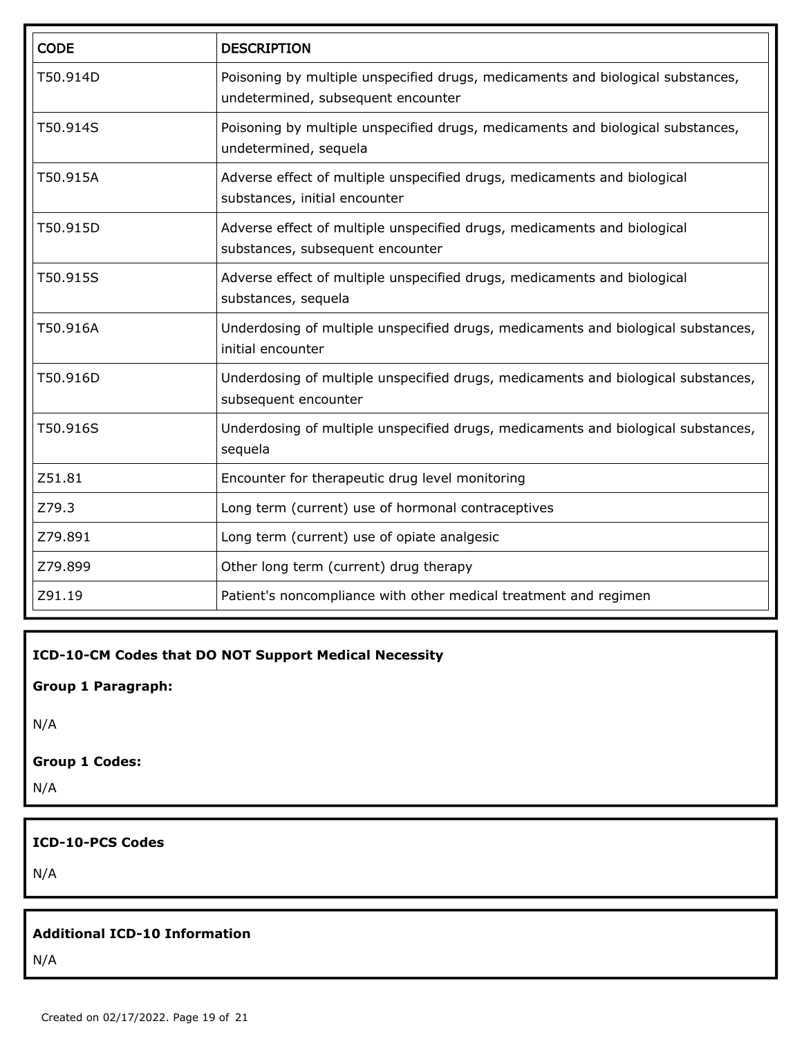| <b>CODE</b> | <b>DESCRIPTION</b>                                                                                                    |  |
|-------------|-----------------------------------------------------------------------------------------------------------------------|--|
| T50.914D    | Poisoning by multiple unspecified drugs, medicaments and biological substances,<br>undetermined, subsequent encounter |  |
| T50.914S    | Poisoning by multiple unspecified drugs, medicaments and biological substances,<br>undetermined, sequela              |  |
| T50.915A    | Adverse effect of multiple unspecified drugs, medicaments and biological<br>substances, initial encounter             |  |
| T50.915D    | Adverse effect of multiple unspecified drugs, medicaments and biological<br>substances, subsequent encounter          |  |
| T50.915S    | Adverse effect of multiple unspecified drugs, medicaments and biological<br>substances, sequela                       |  |
| T50.916A    | Underdosing of multiple unspecified drugs, medicaments and biological substances,<br>initial encounter                |  |
| T50.916D    | Underdosing of multiple unspecified drugs, medicaments and biological substances,<br>subsequent encounter             |  |
| T50.916S    | Underdosing of multiple unspecified drugs, medicaments and biological substances,<br>sequela                          |  |
| Z51.81      | Encounter for therapeutic drug level monitoring                                                                       |  |
| Z79.3       | Long term (current) use of hormonal contraceptives                                                                    |  |
| Z79.891     | Long term (current) use of opiate analgesic                                                                           |  |
| Z79.899     | Other long term (current) drug therapy                                                                                |  |
| Z91.19      | Patient's noncompliance with other medical treatment and regimen                                                      |  |

**ICD-10-CM Codes that DO NOT Support Medical Necessity**

**Group 1 Paragraph:**

N/A

#### **Group 1 Codes:**

N/A

#### **ICD-10-PCS Codes**

N/A

#### **Additional ICD-10 Information**

N/A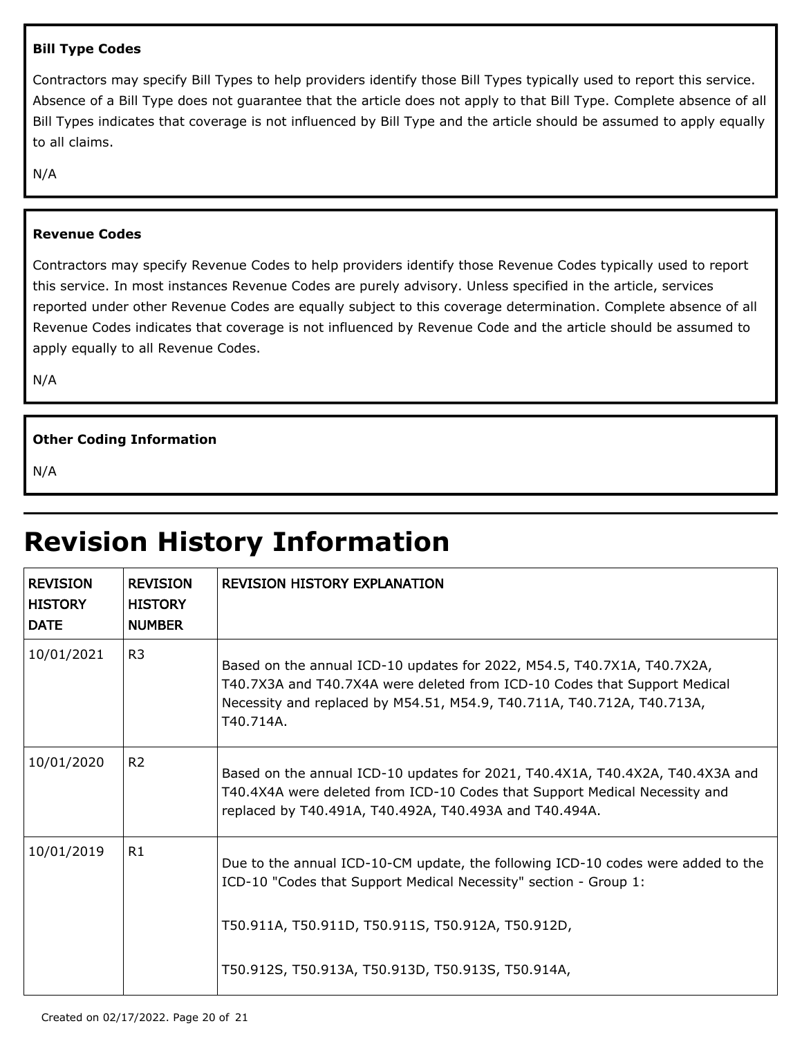#### **Bill Type Codes**

Contractors may specify Bill Types to help providers identify those Bill Types typically used to report this service. Absence of a Bill Type does not guarantee that the article does not apply to that Bill Type. Complete absence of all Bill Types indicates that coverage is not influenced by Bill Type and the article should be assumed to apply equally to all claims.

N/A

#### **Revenue Codes**

Contractors may specify Revenue Codes to help providers identify those Revenue Codes typically used to report this service. In most instances Revenue Codes are purely advisory. Unless specified in the article, services reported under other Revenue Codes are equally subject to this coverage determination. Complete absence of all Revenue Codes indicates that coverage is not influenced by Revenue Code and the article should be assumed to apply equally to all Revenue Codes.

N/A

#### **Other Coding Information**

N/A

# **Revision History Information**

| <b>REVISION</b><br><b>HISTORY</b><br><b>DATE</b> | <b>REVISION</b><br><b>HISTORY</b><br><b>NUMBER</b> | <b>REVISION HISTORY EXPLANATION</b>                                                                                                                                                                                                         |
|--------------------------------------------------|----------------------------------------------------|---------------------------------------------------------------------------------------------------------------------------------------------------------------------------------------------------------------------------------------------|
| 10/01/2021                                       | R <sub>3</sub>                                     | Based on the annual ICD-10 updates for 2022, M54.5, T40.7X1A, T40.7X2A,<br>T40.7X3A and T40.7X4A were deleted from ICD-10 Codes that Support Medical<br>Necessity and replaced by M54.51, M54.9, T40.711A, T40.712A, T40.713A,<br>T40.714A. |
| 10/01/2020                                       | R <sub>2</sub>                                     | Based on the annual ICD-10 updates for 2021, T40.4X1A, T40.4X2A, T40.4X3A and<br>T40.4X4A were deleted from ICD-10 Codes that Support Medical Necessity and<br>replaced by T40.491A, T40.492A, T40.493A and T40.494A.                       |
| 10/01/2019                                       | R1                                                 | Due to the annual ICD-10-CM update, the following ICD-10 codes were added to the<br>ICD-10 "Codes that Support Medical Necessity" section - Group 1:                                                                                        |
|                                                  |                                                    | T50.911A, T50.911D, T50.911S, T50.912A, T50.912D,                                                                                                                                                                                           |
|                                                  |                                                    | T50.912S, T50.913A, T50.913D, T50.913S, T50.914A,                                                                                                                                                                                           |